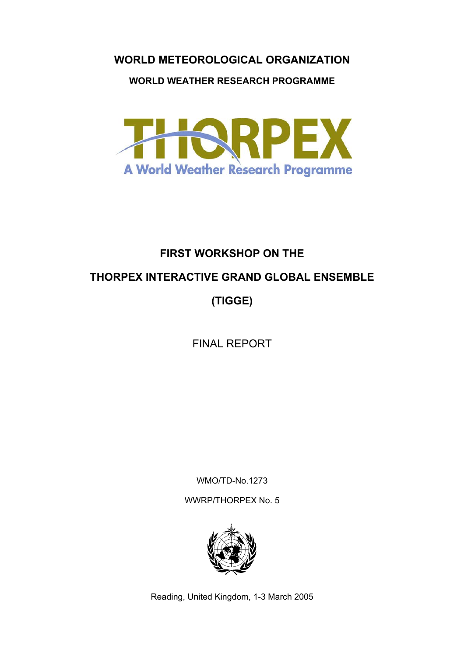#### **WORLD METEOROLOGICAL ORGANIZATION**

#### **WORLD WEATHER RESEARCH PROGRAMME**



# **FIRST WORKSHOP ON THE THORPEX INTERACTIVE GRAND GLOBAL ENSEMBLE (TIGGE)**

FINAL REPORT

WMO/TD-No.1273

WWRP/THORPEX No. 5



Reading, United Kingdom, 1-3 March 2005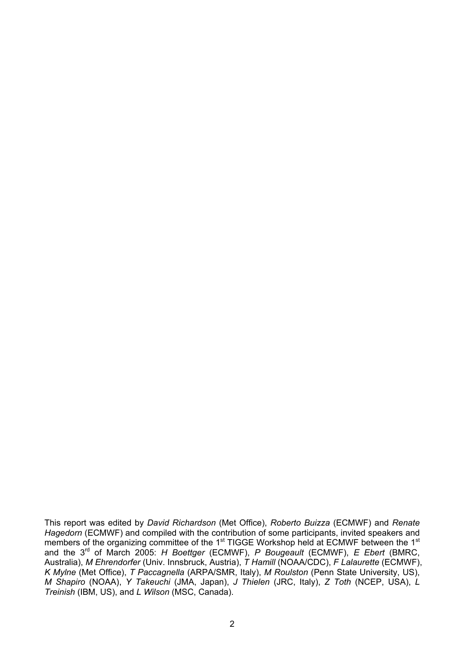This report was edited by *David Richardson* (Met Office), *Roberto Buizza* (ECMWF) and *Renate Hagedorn* (ECMWF) and compiled with the contribution of some participants, invited speakers and members of the organizing committee of the 1<sup>st</sup> TIGGE Workshop held at ECMWF between the 1<sup>st</sup> and the 3rd of March 2005: *H Boettger* (ECMWF), *P Bougeault* (ECMWF), *E Ebert* (BMRC, Australia), *M Ehrendorfer* (Univ. Innsbruck, Austria), *T Hamill* (NOAA/CDC), *F Lalaurette* (ECMWF), *K Mylne* (Met Office), *T Paccagnella* (ARPA/SMR, Italy), *M Roulston* (Penn State University, US), *M Shapiro* (NOAA), *Y Takeuchi* (JMA, Japan), *J Thielen* (JRC, Italy), *Z Toth* (NCEP, USA), *L Treinish* (IBM, US), and *L Wilson* (MSC, Canada).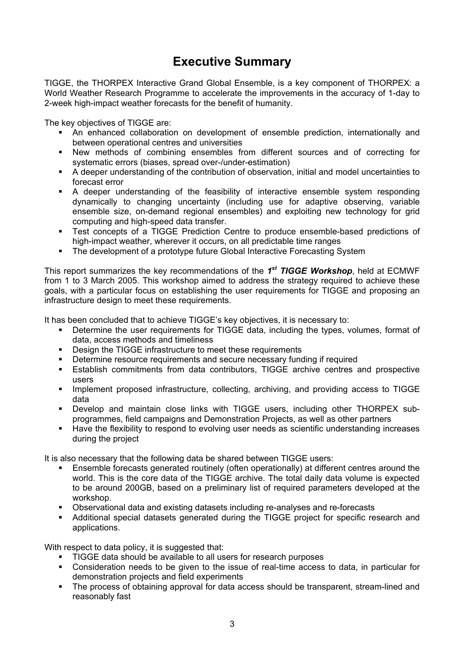### **Executive Summary**

TIGGE, the THORPEX Interactive Grand Global Ensemble, is a key component of THORPEX: a World Weather Research Programme to accelerate the improvements in the accuracy of 1-day to 2-week high-impact weather forecasts for the benefit of humanity.

The key objectives of TIGGE are:

- An enhanced collaboration on development of ensemble prediction, internationally and between operational centres and universities
- New methods of combining ensembles from different sources and of correcting for systematic errors (biases, spread over-/under-estimation)
- A deeper understanding of the contribution of observation, initial and model uncertainties to forecast error
- A deeper understanding of the feasibility of interactive ensemble system responding dynamically to changing uncertainty (including use for adaptive observing, variable ensemble size, on-demand regional ensembles) and exploiting new technology for grid computing and high-speed data transfer.
- Test concepts of a TIGGE Prediction Centre to produce ensemble-based predictions of high-impact weather, wherever it occurs, on all predictable time ranges
- The development of a prototype future Global Interactive Forecasting System

This report summarizes the key recommendations of the *1st TIGGE Workshop*, held at ECMWF from 1 to 3 March 2005. This workshop aimed to address the strategy required to achieve these goals, with a particular focus on establishing the user requirements for TIGGE and proposing an infrastructure design to meet these requirements.

It has been concluded that to achieve TIGGE's key objectives, it is necessary to:

- **•** Determine the user requirements for TIGGE data, including the types, volumes, format of data, access methods and timeliness
- **•** Design the TIGGE infrastructure to meet these requirements
- Determine resource requirements and secure necessary funding if required
- Establish commitments from data contributors, TIGGE archive centres and prospective users
- **Implement proposed infrastructure, collecting, archiving, and providing access to TIGGE** data
- Develop and maintain close links with TIGGE users, including other THORPEX subprogrammes, field campaigns and Demonstration Projects, as well as other partners
- Have the flexibility to respond to evolving user needs as scientific understanding increases during the project

It is also necessary that the following data be shared between TIGGE users:

- Ensemble forecasts generated routinely (often operationally) at different centres around the world. This is the core data of the TIGGE archive. The total daily data volume is expected to be around 200GB, based on a preliminary list of required parameters developed at the workshop.
- Observational data and existing datasets including re-analyses and re-forecasts
- Additional special datasets generated during the TIGGE project for specific research and applications.

With respect to data policy, it is suggested that:

- TIGGE data should be available to all users for research purposes
- Consideration needs to be given to the issue of real-time access to data, in particular for demonstration projects and field experiments
- The process of obtaining approval for data access should be transparent, stream-lined and reasonably fast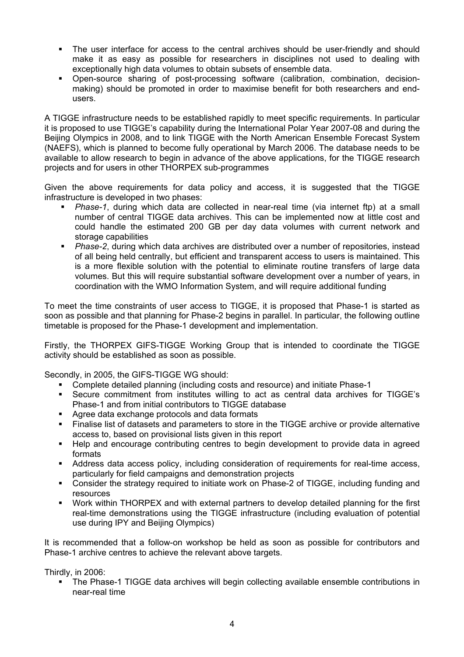- The user interface for access to the central archives should be user-friendly and should make it as easy as possible for researchers in disciplines not used to dealing with exceptionally high data volumes to obtain subsets of ensemble data.
- Open-source sharing of post-processing software (calibration, combination, decisionmaking) should be promoted in order to maximise benefit for both researchers and endusers.

A TIGGE infrastructure needs to be established rapidly to meet specific requirements. In particular it is proposed to use TIGGE's capability during the International Polar Year 2007-08 and during the Beijing Olympics in 2008, and to link TIGGE with the North American Ensemble Forecast System (NAEFS), which is planned to become fully operational by March 2006. The database needs to be available to allow research to begin in advance of the above applications, for the TIGGE research projects and for users in other THORPEX sub-programmes

Given the above requirements for data policy and access, it is suggested that the TIGGE infrastructure is developed in two phases:

- *Phase-1*, during which data are collected in near-real time (via internet ftp) at a small number of central TIGGE data archives. This can be implemented now at little cost and could handle the estimated 200 GB per day data volumes with current network and storage capabilities
- *Phase-2*, during which data archives are distributed over a number of repositories, instead of all being held centrally, but efficient and transparent access to users is maintained. This is a more flexible solution with the potential to eliminate routine transfers of large data volumes. But this will require substantial software development over a number of years, in coordination with the WMO Information System, and will require additional funding

To meet the time constraints of user access to TIGGE, it is proposed that Phase-1 is started as soon as possible and that planning for Phase-2 begins in parallel. In particular, the following outline timetable is proposed for the Phase-1 development and implementation.

Firstly, the THORPEX GIFS-TIGGE Working Group that is intended to coordinate the TIGGE activity should be established as soon as possible.

Secondly, in 2005, the GIFS-TIGGE WG should:

- Complete detailed planning (including costs and resource) and initiate Phase-1
- Secure commitment from institutes willing to act as central data archives for TIGGE's Phase-1 and from initial contributors to TIGGE database
- Agree data exchange protocols and data formats
- Finalise list of datasets and parameters to store in the TIGGE archive or provide alternative access to, based on provisional lists given in this report
- Help and encourage contributing centres to begin development to provide data in agreed formats
- Address data access policy, including consideration of requirements for real-time access, particularly for field campaigns and demonstration projects
- Consider the strategy required to initiate work on Phase-2 of TIGGE, including funding and resources
- Work within THORPEX and with external partners to develop detailed planning for the first real-time demonstrations using the TIGGE infrastructure (including evaluation of potential use during IPY and Beijing Olympics)

It is recommended that a follow-on workshop be held as soon as possible for contributors and Phase-1 archive centres to achieve the relevant above targets.

Thirdly, in 2006:

 The Phase-1 TIGGE data archives will begin collecting available ensemble contributions in near-real time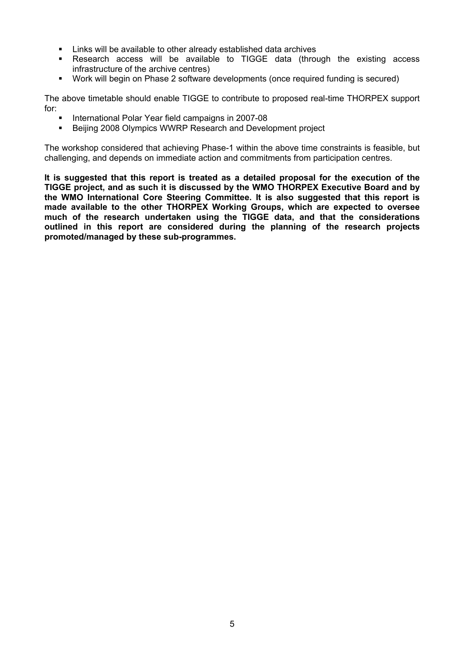- Links will be available to other already established data archives
- Research access will be available to TIGGE data (through the existing access infrastructure of the archive centres)
- Work will begin on Phase 2 software developments (once required funding is secured)

The above timetable should enable TIGGE to contribute to proposed real-time THORPEX support for:

- International Polar Year field campaigns in 2007-08
- Beijing 2008 Olympics WWRP Research and Development project

The workshop considered that achieving Phase-1 within the above time constraints is feasible, but challenging, and depends on immediate action and commitments from participation centres.

**It is suggested that this report is treated as a detailed proposal for the execution of the TIGGE project, and as such it is discussed by the WMO THORPEX Executive Board and by the WMO International Core Steering Committee. It is also suggested that this report is made available to the other THORPEX Working Groups, which are expected to oversee much of the research undertaken using the TIGGE data, and that the considerations outlined in this report are considered during the planning of the research projects promoted/managed by these sub-programmes.**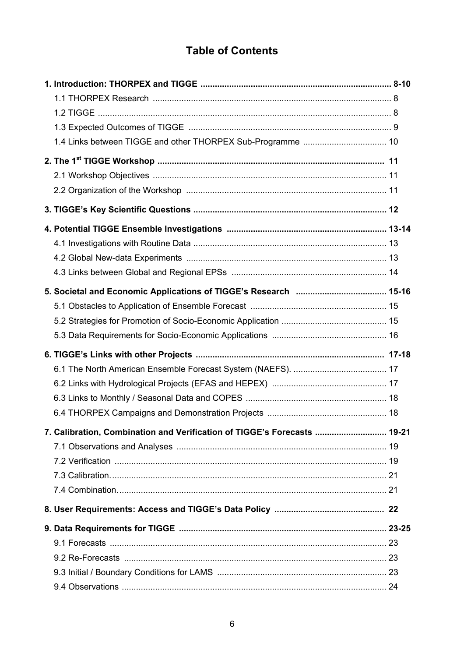### **Table of Contents**

| 7. Calibration, Combination and Verification of TIGGE's Forecasts  19-21 |  |
|--------------------------------------------------------------------------|--|
|                                                                          |  |
|                                                                          |  |
|                                                                          |  |
|                                                                          |  |
|                                                                          |  |
|                                                                          |  |
|                                                                          |  |
|                                                                          |  |
|                                                                          |  |
|                                                                          |  |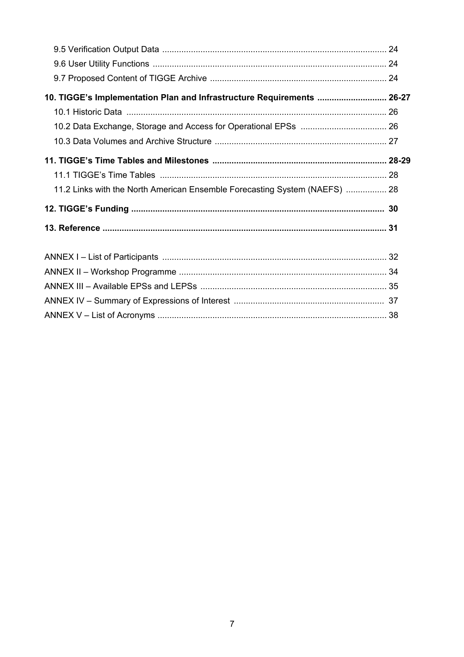| 10. TIGGE's Implementation Plan and Infrastructure Requirements  26-27     |  |
|----------------------------------------------------------------------------|--|
|                                                                            |  |
|                                                                            |  |
|                                                                            |  |
|                                                                            |  |
|                                                                            |  |
| 11.2 Links with the North American Ensemble Forecasting System (NAEFS)  28 |  |
|                                                                            |  |
|                                                                            |  |
|                                                                            |  |
|                                                                            |  |
|                                                                            |  |
|                                                                            |  |
|                                                                            |  |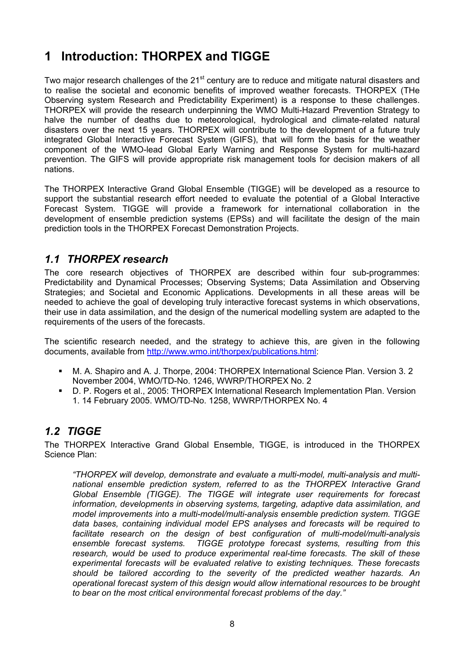### **1 Introduction: THORPEX and TIGGE**

Two major research challenges of the 21<sup>st</sup> century are to reduce and mitigate natural disasters and to realise the societal and economic benefits of improved weather forecasts. THORPEX (THe Observing system Research and Predictability Experiment) is a response to these challenges. THORPEX will provide the research underpinning the WMO Multi-Hazard Prevention Strategy to halve the number of deaths due to meteorological, hydrological and climate-related natural disasters over the next 15 years. THORPEX will contribute to the development of a future truly integrated Global Interactive Forecast System (GIFS), that will form the basis for the weather component of the WMO-lead Global Early Warning and Response System for multi-hazard prevention. The GIFS will provide appropriate risk management tools for decision makers of all nations.

The THORPEX Interactive Grand Global Ensemble (TIGGE) will be developed as a resource to support the substantial research effort needed to evaluate the potential of a Global Interactive Forecast System. TIGGE will provide a framework for international collaboration in the development of ensemble prediction systems (EPSs) and will facilitate the design of the main prediction tools in the THORPEX Forecast Demonstration Projects.

#### *1.1 THORPEX research*

The core research objectives of THORPEX are described within four sub-programmes: Predictability and Dynamical Processes; Observing Systems; Data Assimilation and Observing Strategies; and Societal and Economic Applications. Developments in all these areas will be needed to achieve the goal of developing truly interactive forecast systems in which observations, their use in data assimilation, and the design of the numerical modelling system are adapted to the requirements of the users of the forecasts.

The scientific research needed, and the strategy to achieve this, are given in the following documents, available from [http://www.wmo.int/thorpex/publications.html:](http://www.wmo.int/thorpex/publications.html)

- M. A. Shapiro and A. J. Thorpe, 2004: THORPEX International Science Plan. Version 3. 2 November 2004, WMO/TD-No. 1246, WWRP/THORPEX No. 2
- D. P. Rogers et al., 2005: THORPEX International Research Implementation Plan. Version 1. 14 February 2005. WMO/TD-No. 1258, WWRP/THORPEX No. 4

#### *1.2 TIGGE*

The THORPEX Interactive Grand Global Ensemble, TIGGE, is introduced in the THORPEX Science Plan:

*"THORPEX will develop, demonstrate and evaluate a multi-model, multi-analysis and multinational ensemble prediction system, referred to as the THORPEX Interactive Grand Global Ensemble (TIGGE). The TIGGE will integrate user requirements for forecast information, developments in observing systems, targeting, adaptive data assimilation, and model improvements into a multi-model/multi-analysis ensemble prediction system. TIGGE data bases, containing individual model EPS analyses and forecasts will be required to facilitate research on the design of best configuration of multi-model/multi-analysis ensemble forecast systems. TIGGE prototype forecast systems, resulting from this research, would be used to produce experimental real-time forecasts. The skill of these experimental forecasts will be evaluated relative to existing techniques. These forecasts should be tailored according to the severity of the predicted weather hazards. An operational forecast system of this design would allow international resources to be brought to bear on the most critical environmental forecast problems of the day."*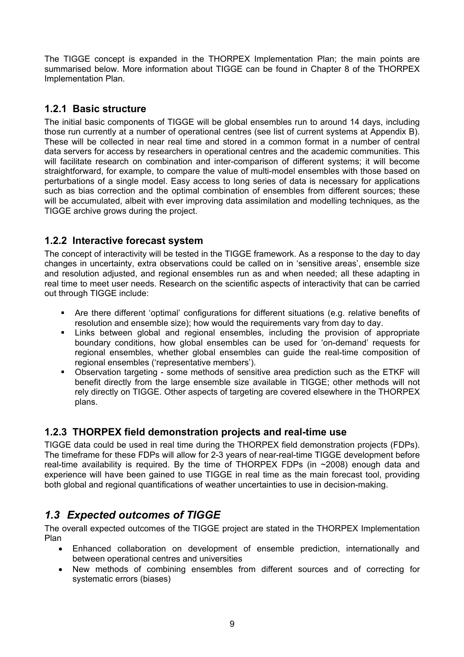The TIGGE concept is expanded in the THORPEX Implementation Plan; the main points are summarised below. More information about TIGGE can be found in Chapter 8 of the THORPEX Implementation Plan.

#### **1.2.1 Basic structure**

The initial basic components of TIGGE will be global ensembles run to around 14 days, including those run currently at a number of operational centres (see list of current systems at Appendix B). These will be collected in near real time and stored in a common format in a number of central data servers for access by researchers in operational centres and the academic communities. This will facilitate research on combination and inter-comparison of different systems; it will become straightforward, for example, to compare the value of multi-model ensembles with those based on perturbations of a single model. Easy access to long series of data is necessary for applications such as bias correction and the optimal combination of ensembles from different sources; these will be accumulated, albeit with ever improving data assimilation and modelling techniques, as the TIGGE archive grows during the project.

#### **1.2.2 Interactive forecast system**

The concept of interactivity will be tested in the TIGGE framework. As a response to the day to day changes in uncertainty, extra observations could be called on in 'sensitive areas', ensemble size and resolution adjusted, and regional ensembles run as and when needed; all these adapting in real time to meet user needs. Research on the scientific aspects of interactivity that can be carried out through TIGGE include:

- Are there different 'optimal' configurations for different situations (e.g. relative benefits of resolution and ensemble size); how would the requirements vary from day to day.
- Links between global and regional ensembles, including the provision of appropriate boundary conditions, how global ensembles can be used for 'on-demand' requests for regional ensembles, whether global ensembles can guide the real-time composition of regional ensembles ('representative members').
- Observation targeting some methods of sensitive area prediction such as the ETKF will benefit directly from the large ensemble size available in TIGGE; other methods will not rely directly on TIGGE. Other aspects of targeting are covered elsewhere in the THORPEX plans.

#### **1.2.3 THORPEX field demonstration projects and real-time use**

TIGGE data could be used in real time during the THORPEX field demonstration projects (FDPs). The timeframe for these FDPs will allow for 2-3 years of near-real-time TIGGE development before real-time availability is required. By the time of THORPEX FDPs (in ~2008) enough data and experience will have been gained to use TIGGE in real time as the main forecast tool, providing both global and regional quantifications of weather uncertainties to use in decision-making.

#### *1.3 Expected outcomes of TIGGE*

The overall expected outcomes of the TIGGE project are stated in the THORPEX Implementation Plan

- Enhanced collaboration on development of ensemble prediction, internationally and between operational centres and universities
- New methods of combining ensembles from different sources and of correcting for systematic errors (biases)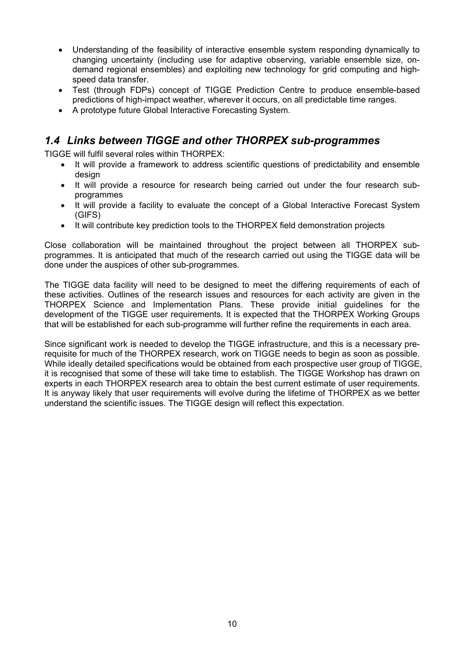- Understanding of the feasibility of interactive ensemble system responding dynamically to changing uncertainty (including use for adaptive observing, variable ensemble size, ondemand regional ensembles) and exploiting new technology for grid computing and highspeed data transfer.
- Test (through FDPs) concept of TIGGE Prediction Centre to produce ensemble-based predictions of high-impact weather, wherever it occurs, on all predictable time ranges.
- A prototype future Global Interactive Forecasting System.

#### *1.4 Links between TIGGE and other THORPEX sub-programmes*

TIGGE will fulfil several roles within THORPEX:

- It will provide a framework to address scientific questions of predictability and ensemble design
- It will provide a resource for research being carried out under the four research subprogrammes
- It will provide a facility to evaluate the concept of a Global Interactive Forecast System (GIFS)
- It will contribute key prediction tools to the THORPEX field demonstration projects

Close collaboration will be maintained throughout the project between all THORPEX subprogrammes. It is anticipated that much of the research carried out using the TIGGE data will be done under the auspices of other sub-programmes.

The TIGGE data facility will need to be designed to meet the differing requirements of each of these activities. Outlines of the research issues and resources for each activity are given in the THORPEX Science and Implementation Plans. These provide initial guidelines for the development of the TIGGE user requirements. It is expected that the THORPEX Working Groups that will be established for each sub-programme will further refine the requirements in each area.

Since significant work is needed to develop the TIGGE infrastructure, and this is a necessary prerequisite for much of the THORPEX research, work on TIGGE needs to begin as soon as possible. While ideally detailed specifications would be obtained from each prospective user group of TIGGE, it is recognised that some of these will take time to establish. The TIGGE Workshop has drawn on experts in each THORPEX research area to obtain the best current estimate of user requirements. It is anyway likely that user requirements will evolve during the lifetime of THORPEX as we better understand the scientific issues. The TIGGE design will reflect this expectation.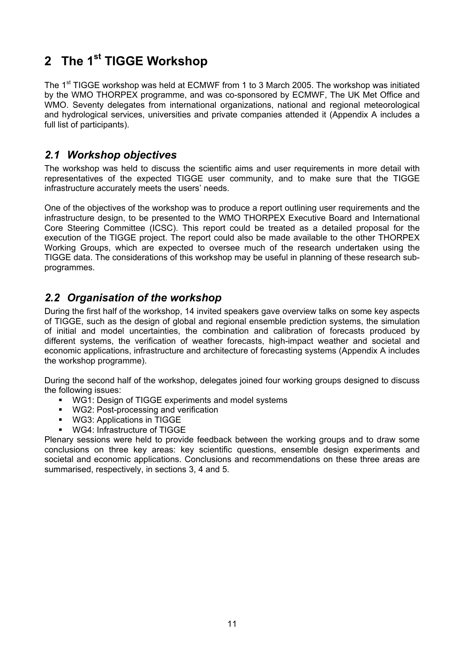## **2 The 1st TIGGE Workshop**

The 1<sup>st</sup> TIGGE workshop was held at ECMWF from 1 to 3 March 2005. The workshop was initiated by the WMO THORPEX programme, and was co-sponsored by ECMWF, The UK Met Office and WMO. Seventy delegates from international organizations, national and regional meteorological and hydrological services, universities and private companies attended it (Appendix A includes a full list of participants).

#### *2.1 Workshop objectives*

The workshop was held to discuss the scientific aims and user requirements in more detail with representatives of the expected TIGGE user community, and to make sure that the TIGGE infrastructure accurately meets the users' needs.

One of the objectives of the workshop was to produce a report outlining user requirements and the infrastructure design, to be presented to the WMO THORPEX Executive Board and International Core Steering Committee (ICSC). This report could be treated as a detailed proposal for the execution of the TIGGE project. The report could also be made available to the other THORPEX Working Groups, which are expected to oversee much of the research undertaken using the TIGGE data. The considerations of this workshop may be useful in planning of these research subprogrammes.

#### *2.2 Organisation of the workshop*

During the first half of the workshop, 14 invited speakers gave overview talks on some key aspects of TIGGE, such as the design of global and regional ensemble prediction systems, the simulation of initial and model uncertainties, the combination and calibration of forecasts produced by different systems, the verification of weather forecasts, high-impact weather and societal and economic applications, infrastructure and architecture of forecasting systems (Appendix A includes the workshop programme).

During the second half of the workshop, delegates joined four working groups designed to discuss the following issues:

- **WG1: Design of TIGGE experiments and model systems**
- **WG2: Post-processing and verification**
- WG3: Applications in TIGGE
- WG4: Infrastructure of TIGGE

Plenary sessions were held to provide feedback between the working groups and to draw some conclusions on three key areas: key scientific questions, ensemble design experiments and societal and economic applications. Conclusions and recommendations on these three areas are summarised, respectively, in sections 3, 4 and 5.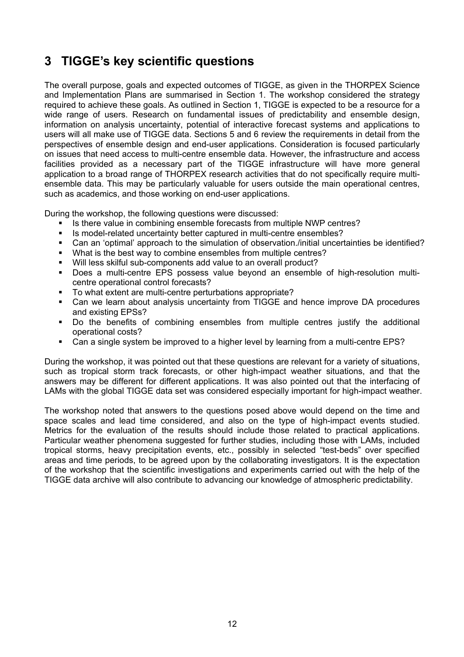### **3 TIGGE's key scientific questions**

The overall purpose, goals and expected outcomes of TIGGE, as given in the THORPEX Science and Implementation Plans are summarised in Section 1. The workshop considered the strategy required to achieve these goals. As outlined in Section 1, TIGGE is expected to be a resource for a wide range of users. Research on fundamental issues of predictability and ensemble design, information on analysis uncertainty, potential of interactive forecast systems and applications to users will all make use of TIGGE data. Sections 5 and 6 review the requirements in detail from the perspectives of ensemble design and end-user applications. Consideration is focused particularly on issues that need access to multi-centre ensemble data. However, the infrastructure and access facilities provided as a necessary part of the TIGGE infrastructure will have more general application to a broad range of THORPEX research activities that do not specifically require multiensemble data. This may be particularly valuable for users outside the main operational centres, such as academics, and those working on end-user applications.

During the workshop, the following questions were discussed:

- Is there value in combining ensemble forecasts from multiple NWP centres?
- Is model-related uncertainty better captured in multi-centre ensembles?
- Can an 'optimal' approach to the simulation of observation./initial uncertainties be identified?
- What is the best way to combine ensembles from multiple centres?
- Will less skilful sub-components add value to an overall product?
- Does a multi-centre EPS possess value beyond an ensemble of high-resolution multicentre operational control forecasts?
- To what extent are multi-centre perturbations appropriate?
- Can we learn about analysis uncertainty from TIGGE and hence improve DA procedures and existing EPSs?
- Do the benefits of combining ensembles from multiple centres justify the additional operational costs?
- Can a single system be improved to a higher level by learning from a multi-centre EPS?

During the workshop, it was pointed out that these questions are relevant for a variety of situations, such as tropical storm track forecasts, or other high-impact weather situations, and that the answers may be different for different applications. It was also pointed out that the interfacing of LAMs with the global TIGGE data set was considered especially important for high-impact weather.

The workshop noted that answers to the questions posed above would depend on the time and space scales and lead time considered, and also on the type of high-impact events studied. Metrics for the evaluation of the results should include those related to practical applications. Particular weather phenomena suggested for further studies, including those with LAMs, included tropical storms, heavy precipitation events, etc., possibly in selected "test-beds" over specified areas and time periods, to be agreed upon by the collaborating investigators. It is the expectation of the workshop that the scientific investigations and experiments carried out with the help of the TIGGE data archive will also contribute to advancing our knowledge of atmospheric predictability.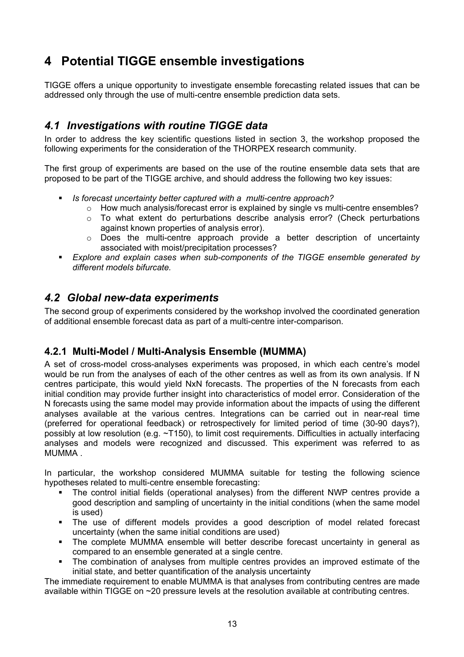### **4 Potential TIGGE ensemble investigations**

TIGGE offers a unique opportunity to investigate ensemble forecasting related issues that can be addressed only through the use of multi-centre ensemble prediction data sets.

#### *4.1 Investigations with routine TIGGE data*

In order to address the key scientific questions listed in section 3, the workshop proposed the following experiments for the consideration of the THORPEX research community.

The first group of experiments are based on the use of the routine ensemble data sets that are proposed to be part of the TIGGE archive, and should address the following two key issues:

- *Is forecast uncertainty better captured with a multi-centre approach?* 
	- $\circ$  How much analysis/forecast error is explained by single vs multi-centre ensembles?
	- o To what extent do perturbations describe analysis error? (Check perturbations against known properties of analysis error).
	- o Does the multi-centre approach provide a better description of uncertainty associated with moist/precipitation processes?
- *Explore and explain cases when sub-components of the TIGGE ensemble generated by different models bifurcate.*

#### *4.2 Global new-data experiments*

The second group of experiments considered by the workshop involved the coordinated generation of additional ensemble forecast data as part of a multi-centre inter-comparison.

#### **4.2.1 Multi-Model / Multi-Analysis Ensemble (MUMMA)**

A set of cross-model cross-analyses experiments was proposed, in which each centre's model would be run from the analyses of each of the other centres as well as from its own analysis. If N centres participate, this would yield NxN forecasts. The properties of the N forecasts from each initial condition may provide further insight into characteristics of model error. Consideration of the N forecasts using the same model may provide information about the impacts of using the different analyses available at the various centres. Integrations can be carried out in near-real time (preferred for operational feedback) or retrospectively for limited period of time (30-90 days?), possibly at low resolution (e.g. ~T150), to limit cost requirements. Difficulties in actually interfacing analyses and models were recognized and discussed. This experiment was referred to as MUMMA .

In particular, the workshop considered MUMMA suitable for testing the following science hypotheses related to multi-centre ensemble forecasting:

- The control initial fields (operational analyses) from the different NWP centres provide a good description and sampling of uncertainty in the initial conditions (when the same model is used)
- The use of different models provides a good description of model related forecast uncertainty (when the same initial conditions are used)
- The complete MUMMA ensemble will better describe forecast uncertainty in general as compared to an ensemble generated at a single centre.
- The combination of analyses from multiple centres provides an improved estimate of the initial state, and better quantification of the analysis uncertainty

The immediate requirement to enable MUMMA is that analyses from contributing centres are made available within TIGGE on ~20 pressure levels at the resolution available at contributing centres.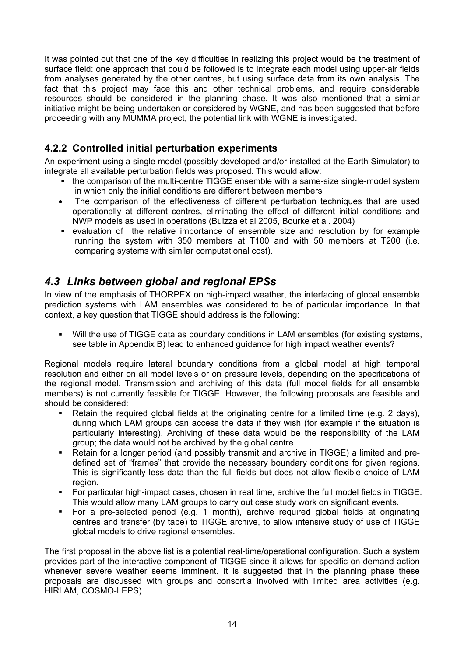It was pointed out that one of the key difficulties in realizing this project would be the treatment of surface field: one approach that could be followed is to integrate each model using upper-air fields from analyses generated by the other centres, but using surface data from its own analysis. The fact that this project may face this and other technical problems, and require considerable resources should be considered in the planning phase. It was also mentioned that a similar initiative might be being undertaken or considered by WGNE, and has been suggested that before proceeding with any MUMMA project, the potential link with WGNE is investigated.

#### **4.2.2 Controlled initial perturbation experiments**

An experiment using a single model (possibly developed and/or installed at the Earth Simulator) to integrate all available perturbation fields was proposed. This would allow:

- the comparison of the multi-centre TIGGE ensemble with a same-size single-model system in which only the initial conditions are different between members
- The comparison of the effectiveness of different perturbation techniques that are used operationally at different centres, eliminating the effect of different initial conditions and NWP models as used in operations (Buizza et al 2005, Bourke et al. 2004)
- evaluation of the relative importance of ensemble size and resolution by for example running the system with 350 members at T100 and with 50 members at T200 (i.e. comparing systems with similar computational cost).

#### *4.3 Links between global and regional EPSs*

In view of the emphasis of THORPEX on high-impact weather, the interfacing of global ensemble prediction systems with LAM ensembles was considered to be of particular importance. In that context, a key question that TIGGE should address is the following:

 Will the use of TIGGE data as boundary conditions in LAM ensembles (for existing systems, see table in Appendix B) lead to enhanced guidance for high impact weather events?

Regional models require lateral boundary conditions from a global model at high temporal resolution and either on all model levels or on pressure levels, depending on the specifications of the regional model. Transmission and archiving of this data (full model fields for all ensemble members) is not currently feasible for TIGGE. However, the following proposals are feasible and should be considered:

- Retain the required global fields at the originating centre for a limited time (e.g. 2 days), during which LAM groups can access the data if they wish (for example if the situation is particularly interesting). Archiving of these data would be the responsibility of the LAM group; the data would not be archived by the global centre.
- Retain for a longer period (and possibly transmit and archive in TIGGE) a limited and predefined set of "frames" that provide the necessary boundary conditions for given regions. This is significantly less data than the full fields but does not allow flexible choice of LAM region.
- For particular high-impact cases, chosen in real time, archive the full model fields in TIGGE. This would allow many LAM groups to carry out case study work on significant events.
- For a pre-selected period (e.g. 1 month), archive required global fields at originating centres and transfer (by tape) to TIGGE archive, to allow intensive study of use of TIGGE global models to drive regional ensembles.

The first proposal in the above list is a potential real-time/operational configuration. Such a system provides part of the interactive component of TIGGE since it allows for specific on-demand action whenever severe weather seems imminent. It is suggested that in the planning phase these proposals are discussed with groups and consortia involved with limited area activities (e.g. HIRLAM, COSMO-LEPS).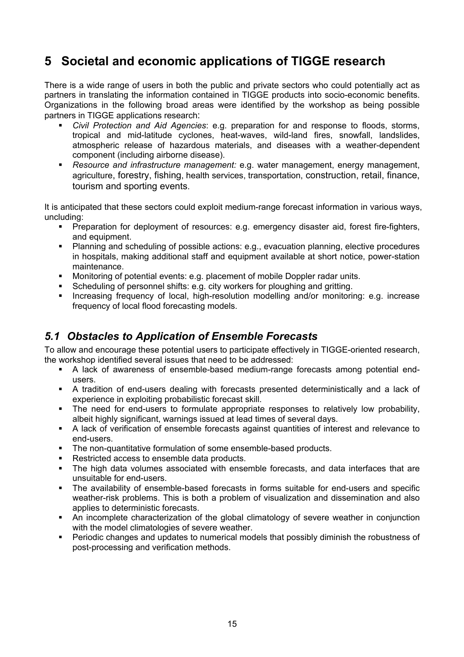### **5 Societal and economic applications of TIGGE research**

There is a wide range of users in both the public and private sectors who could potentially act as partners in translating the information contained in TIGGE products into socio-economic benefits. Organizations in the following broad areas were identified by the workshop as being possible partners in TIGGE applications research:

- *Civil Protection and Aid Agencies*: e.g. preparation for and response to floods, storms, tropical and mid-latitude cyclones, heat-waves, wild-land fires, snowfall, landslides, atmospheric release of hazardous materials, and diseases with a weather-dependent component (including airborne disease).
- *Resource and infrastructure management:* e.g. water management, energy management, agriculture, forestry, fishing, health services, transportation, construction, retail, finance, tourism and sporting events.

It is anticipated that these sectors could exploit medium-range forecast information in various ways, uncluding:

- Preparation for deployment of resources: e.g. emergency disaster aid, forest fire-fighters, and equipment.
- Planning and scheduling of possible actions: e.g., evacuation planning, elective procedures in hospitals, making additional staff and equipment available at short notice, power-station maintenance.
- Monitoring of potential events: e.g. placement of mobile Doppler radar units.
- Scheduling of personnel shifts: e.g. city workers for ploughing and gritting.
- Increasing frequency of local, high-resolution modelling and/or monitoring: e.g. increase frequency of local flood forecasting models.

#### *5.1 Obstacles to Application of Ensemble Forecasts*

To allow and encourage these potential users to participate effectively in TIGGE-oriented research, the workshop identified several issues that need to be addressed:

- A lack of awareness of ensemble-based medium-range forecasts among potential endusers.
- A tradition of end-users dealing with forecasts presented deterministically and a lack of experience in exploiting probabilistic forecast skill.
- The need for end-users to formulate appropriate responses to relatively low probability, albeit highly significant, warnings issued at lead times of several days.
- A lack of verification of ensemble forecasts against quantities of interest and relevance to end-users.
- The non-quantitative formulation of some ensemble-based products.
- Restricted access to ensemble data products.
- The high data volumes associated with ensemble forecasts, and data interfaces that are unsuitable for end-users.
- The availability of ensemble-based forecasts in forms suitable for end-users and specific weather-risk problems. This is both a problem of visualization and dissemination and also applies to deterministic forecasts.
- An incomplete characterization of the global climatology of severe weather in conjunction with the model climatologies of severe weather.
- Periodic changes and updates to numerical models that possibly diminish the robustness of post-processing and verification methods.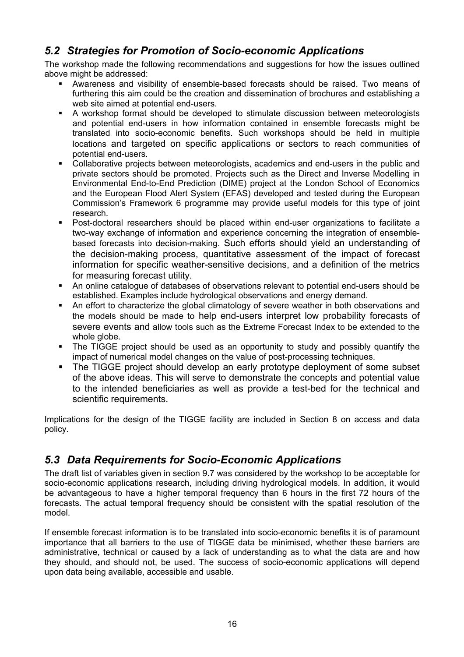#### *5.2 Strategies for Promotion of Socio-economic Applications*

The workshop made the following recommendations and suggestions for how the issues outlined above might be addressed:

- Awareness and visibility of ensemble-based forecasts should be raised. Two means of furthering this aim could be the creation and dissemination of brochures and establishing a web site aimed at potential end-users.
- A workshop format should be developed to stimulate discussion between meteorologists and potential end-users in how information contained in ensemble forecasts might be translated into socio-economic benefits. Such workshops should be held in multiple locations and targeted on specific applications or sectors to reach communities of potential end-users.
- Collaborative projects between meteorologists, academics and end-users in the public and private sectors should be promoted. Projects such as the Direct and Inverse Modelling in Environmental End-to-End Prediction (DIME) project at the London School of Economics and the European Flood Alert System (EFAS) developed and tested during the European Commission's Framework 6 programme may provide useful models for this type of joint research.
- Post-doctoral researchers should be placed within end-user organizations to facilitate a two-way exchange of information and experience concerning the integration of ensemblebased forecasts into decision-making. Such efforts should yield an understanding of the decision-making process, quantitative assessment of the impact of forecast information for specific weather-sensitive decisions, and a definition of the metrics for measuring forecast utility.
- An online catalogue of databases of observations relevant to potential end-users should be established. Examples include hydrological observations and energy demand.
- An effort to characterize the global climatology of severe weather in both observations and the models should be made to help end-users interpret low probability forecasts of severe events and allow tools such as the Extreme Forecast Index to be extended to the whole globe.
- The TIGGE project should be used as an opportunity to study and possibly quantify the impact of numerical model changes on the value of post-processing techniques.
- The TIGGE project should develop an early prototype deployment of some subset of the above ideas. This will serve to demonstrate the concepts and potential value to the intended beneficiaries as well as provide a test-bed for the technical and scientific requirements.

Implications for the design of the TIGGE facility are included in Section 8 on access and data policy.

### *5.3 Data Requirements for Socio-Economic Applications*

The draft list of variables given in section 9.7 was considered by the workshop to be acceptable for socio-economic applications research, including driving hydrological models. In addition, it would be advantageous to have a higher temporal frequency than 6 hours in the first 72 hours of the forecasts. The actual temporal frequency should be consistent with the spatial resolution of the model.

If ensemble forecast information is to be translated into socio-economic benefits it is of paramount importance that all barriers to the use of TIGGE data be minimised, whether these barriers are administrative, technical or caused by a lack of understanding as to what the data are and how they should, and should not, be used. The success of socio-economic applications will depend upon data being available, accessible and usable.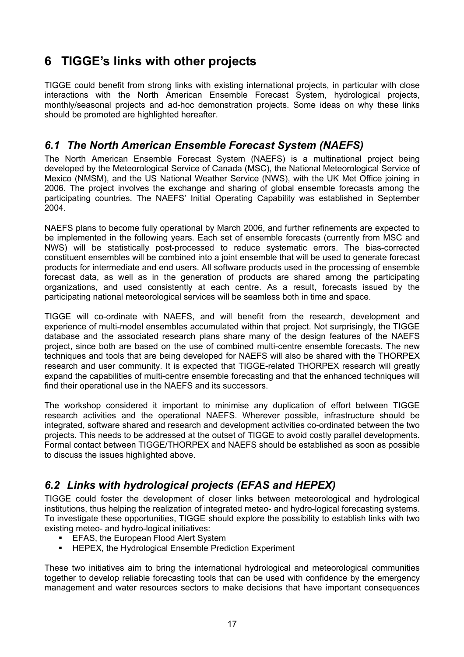### **6 TIGGE's links with other projects**

TIGGE could benefit from strong links with existing international projects, in particular with close interactions with the North American Ensemble Forecast System, hydrological projects, monthly/seasonal projects and ad-hoc demonstration projects. Some ideas on why these links should be promoted are highlighted hereafter.

#### *6.1 The North American Ensemble Forecast System (NAEFS)*

The North American Ensemble Forecast System (NAEFS) is a multinational project being developed by the Meteorological Service of Canada (MSC), the National Meteorological Service of Mexico (NMSM), and the US National Weather Service (NWS), with the UK Met Office joining in 2006. The project involves the exchange and sharing of global ensemble forecasts among the participating countries. The NAEFS' Initial Operating Capability was established in September 2004.

NAEFS plans to become fully operational by March 2006, and further refinements are expected to be implemented in the following years. Each set of ensemble forecasts (currently from MSC and NWS) will be statistically post-processed to reduce systematic errors. The bias-corrected constituent ensembles will be combined into a joint ensemble that will be used to generate forecast products for intermediate and end users. All software products used in the processing of ensemble forecast data, as well as in the generation of products are shared among the participating organizations, and used consistently at each centre. As a result, forecasts issued by the participating national meteorological services will be seamless both in time and space.

TIGGE will co-ordinate with NAEFS, and will benefit from the research, development and experience of multi-model ensembles accumulated within that project. Not surprisingly, the TIGGE database and the associated research plans share many of the design features of the NAEFS project, since both are based on the use of combined multi-centre ensemble forecasts. The new techniques and tools that are being developed for NAEFS will also be shared with the THORPEX research and user community. It is expected that TIGGE-related THORPEX research will greatly expand the capabilities of multi-centre ensemble forecasting and that the enhanced techniques will find their operational use in the NAEFS and its successors.

The workshop considered it important to minimise any duplication of effort between TIGGE research activities and the operational NAEFS. Wherever possible, infrastructure should be integrated, software shared and research and development activities co-ordinated between the two projects. This needs to be addressed at the outset of TIGGE to avoid costly parallel developments. Formal contact between TIGGE/THORPEX and NAEFS should be established as soon as possible to discuss the issues highlighted above.

### *6.2 Links with hydrological projects (EFAS and HEPEX)*

TIGGE could foster the development of closer links between meteorological and hydrological institutions, thus helping the realization of integrated meteo- and hydro-logical forecasting systems. To investigate these opportunities, TIGGE should explore the possibility to establish links with two existing meteo- and hydro-logical initiatives:

- **EFAS, the European Flood Alert System**
- **EXECTEX, the Hydrological Ensemble Prediction Experiment**

These two initiatives aim to bring the international hydrological and meteorological communities together to develop reliable forecasting tools that can be used with confidence by the emergency management and water resources sectors to make decisions that have important consequences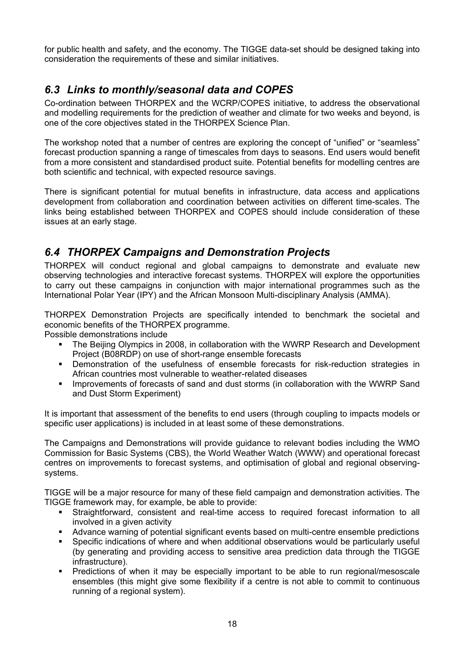for public health and safety, and the economy. The TIGGE data-set should be designed taking into consideration the requirements of these and similar initiatives.

#### *6.3 Links to monthly/seasonal data and COPES*

Co-ordination between THORPEX and the WCRP/COPES initiative, to address the observational and modelling requirements for the prediction of weather and climate for two weeks and beyond, is one of the core objectives stated in the THORPEX Science Plan.

The workshop noted that a number of centres are exploring the concept of "unified" or "seamless" forecast production spanning a range of timescales from days to seasons. End users would benefit from a more consistent and standardised product suite. Potential benefits for modelling centres are both scientific and technical, with expected resource savings.

There is significant potential for mutual benefits in infrastructure, data access and applications development from collaboration and coordination between activities on different time-scales. The links being established between THORPEX and COPES should include consideration of these issues at an early stage.

#### *6.4 THORPEX Campaigns and Demonstration Projects*

THORPEX will conduct regional and global campaigns to demonstrate and evaluate new observing technologies and interactive forecast systems. THORPEX will explore the opportunities to carry out these campaigns in conjunction with major international programmes such as the International Polar Year (IPY) and the African Monsoon Multi-disciplinary Analysis (AMMA).

THORPEX Demonstration Projects are specifically intended to benchmark the societal and economic benefits of the THORPEX programme.

Possible demonstrations include

- The Beijing Olympics in 2008, in collaboration with the WWRP Research and Development Project (B08RDP) on use of short-range ensemble forecasts
- **•** Demonstration of the usefulness of ensemble forecasts for risk-reduction strategies in African countries most vulnerable to weather-related diseases
- **IMPROVEMENTS OF forecasts of sand and dust storms (in collaboration with the WWRP Sand** and Dust Storm Experiment)

It is important that assessment of the benefits to end users (through coupling to impacts models or specific user applications) is included in at least some of these demonstrations.

The Campaigns and Demonstrations will provide guidance to relevant bodies including the WMO Commission for Basic Systems (CBS), the World Weather Watch (WWW) and operational forecast centres on improvements to forecast systems, and optimisation of global and regional observingsystems.

TIGGE will be a major resource for many of these field campaign and demonstration activities. The TIGGE framework may, for example, be able to provide:

- Straightforward, consistent and real-time access to required forecast information to all involved in a given activity
- Advance warning of potential significant events based on multi-centre ensemble predictions
- Specific indications of where and when additional observations would be particularly useful (by generating and providing access to sensitive area prediction data through the TIGGE infrastructure).
- Predictions of when it may be especially important to be able to run regional/mesoscale ensembles (this might give some flexibility if a centre is not able to commit to continuous running of a regional system).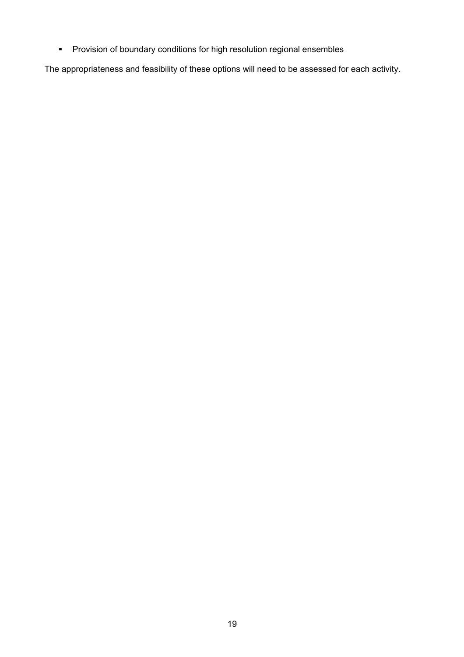Provision of boundary conditions for high resolution regional ensembles

The appropriateness and feasibility of these options will need to be assessed for each activity.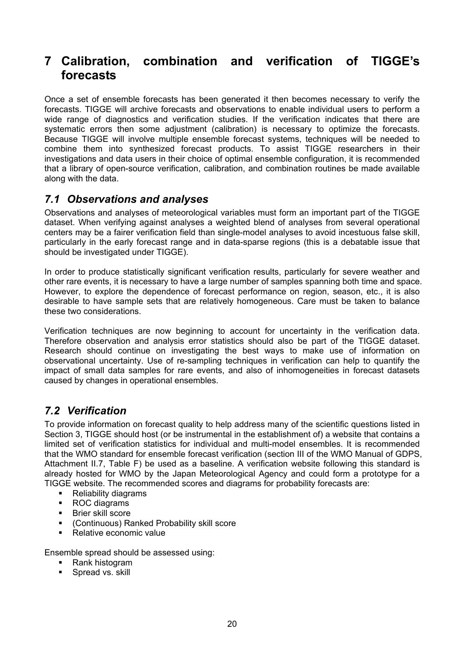### **7 Calibration, combination and verification of TIGGE's forecasts**

Once a set of ensemble forecasts has been generated it then becomes necessary to verify the forecasts. TIGGE will archive forecasts and observations to enable individual users to perform a wide range of diagnostics and verification studies. If the verification indicates that there are systematic errors then some adjustment (calibration) is necessary to optimize the forecasts. Because TIGGE will involve multiple ensemble forecast systems, techniques will be needed to combine them into synthesized forecast products. To assist TIGGE researchers in their investigations and data users in their choice of optimal ensemble configuration, it is recommended that a library of open-source verification, calibration, and combination routines be made available along with the data.

#### *7.1 Observations and analyses*

Observations and analyses of meteorological variables must form an important part of the TIGGE dataset. When verifying against analyses a weighted blend of analyses from several operational centers may be a fairer verification field than single-model analyses to avoid incestuous false skill, particularly in the early forecast range and in data-sparse regions (this is a debatable issue that should be investigated under TIGGE).

In order to produce statistically significant verification results, particularly for severe weather and other rare events, it is necessary to have a large number of samples spanning both time and space. However, to explore the dependence of forecast performance on region, season, etc., it is also desirable to have sample sets that are relatively homogeneous. Care must be taken to balance these two considerations.

Verification techniques are now beginning to account for uncertainty in the verification data. Therefore observation and analysis error statistics should also be part of the TIGGE dataset. Research should continue on investigating the best ways to make use of information on observational uncertainty. Use of re-sampling techniques in verification can help to quantify the impact of small data samples for rare events, and also of inhomogeneities in forecast datasets caused by changes in operational ensembles.

#### *7.2 Verification*

To provide information on forecast quality to help address many of the scientific questions listed in Section 3, TIGGE should host (or be instrumental in the establishment of) a website that contains a limited set of verification statistics for individual and multi-model ensembles. It is recommended that the WMO standard for ensemble forecast verification (section III of the WMO Manual of GDPS, Attachment II.7, Table F) be used as a baseline. A verification website following this standard is already hosted for WMO by the Japan Meteorological Agency and could form a prototype for a TIGGE website. The recommended scores and diagrams for probability forecasts are:

- Reliability diagrams
- ROC diagrams
- **Brier skill score**
- (Continuous) Ranked Probability skill score
- Relative economic value

Ensemble spread should be assessed using:

- Rank histogram
- **Spread vs. skill**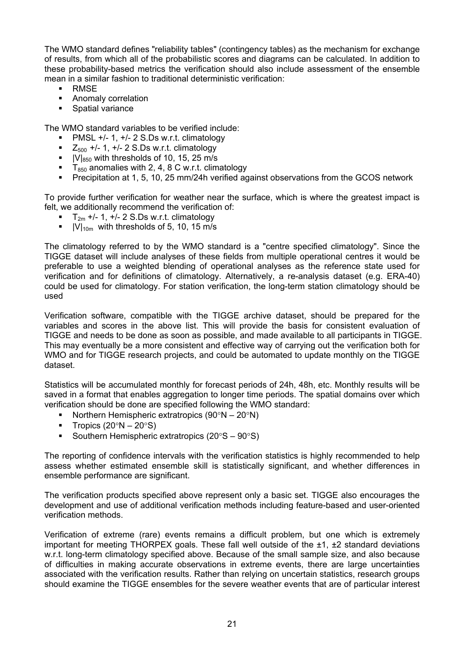The WMO standard defines "reliability tables" (contingency tables) as the mechanism for exchange of results, from which all of the probabilistic scores and diagrams can be calculated. In addition to these probability-based metrics the verification should also include assessment of the ensemble mean in a similar fashion to traditional deterministic verification:

- **-** RMSE
- **Anomaly correlation**
- **Spatial variance**

The WMO standard variables to be verified include:

- PMSL +/- 1, +/- 2 S.Ds w.r.t. climatology
- $\blacksquare$  Z<sub>500</sub> +/- 1, +/- 2 S.Ds w.r.t. climatology
- $|V|_{850}$  with thresholds of 10, 15, 25 m/s
- $\overline{T}_{850}$  anomalies with 2, 4, 8 C w.r.t. climatology
- **Precipitation at 1, 5, 10, 25 mm/24h verified against observations from the GCOS network**

To provide further verification for weather near the surface, which is where the greatest impact is felt, we additionally recommend the verification of:

- $T_{2m}$  +/- 1, +/- 2 S.Ds w.r.t. climatology
- $|V|_{10m}$  with thresholds of 5, 10, 15 m/s

The climatology referred to by the WMO standard is a "centre specified climatology". Since the TIGGE dataset will include analyses of these fields from multiple operational centres it would be preferable to use a weighted blending of operational analyses as the reference state used for verification and for definitions of climatology. Alternatively, a re-analysis dataset (e.g. ERA-40) could be used for climatology. For station verification, the long-term station climatology should be used

Verification software, compatible with the TIGGE archive dataset, should be prepared for the variables and scores in the above list. This will provide the basis for consistent evaluation of TIGGE and needs to be done as soon as possible, and made available to all participants in TIGGE. This may eventually be a more consistent and effective way of carrying out the verification both for WMO and for TIGGE research projects, and could be automated to update monthly on the TIGGE dataset.

Statistics will be accumulated monthly for forecast periods of 24h, 48h, etc. Monthly results will be saved in a format that enables aggregation to longer time periods. The spatial domains over which verification should be done are specified following the WMO standard:

- Northern Hemispheric extratropics  $(90^{\circ}N 20^{\circ}N)$
- Tropics  $(20°N 20°S)$
- Southern Hemispheric extratropics (20°S 90°S)

The reporting of confidence intervals with the verification statistics is highly recommended to help assess whether estimated ensemble skill is statistically significant, and whether differences in ensemble performance are significant.

The verification products specified above represent only a basic set. TIGGE also encourages the development and use of additional verification methods including feature-based and user-oriented verification methods.

Verification of extreme (rare) events remains a difficult problem, but one which is extremely important for meeting THORPEX goals. These fall well outside of the  $\pm 1$ ,  $\pm 2$  standard deviations w.r.t. long-term climatology specified above. Because of the small sample size, and also because of difficulties in making accurate observations in extreme events, there are large uncertainties associated with the verification results. Rather than relying on uncertain statistics, research groups should examine the TIGGE ensembles for the severe weather events that are of particular interest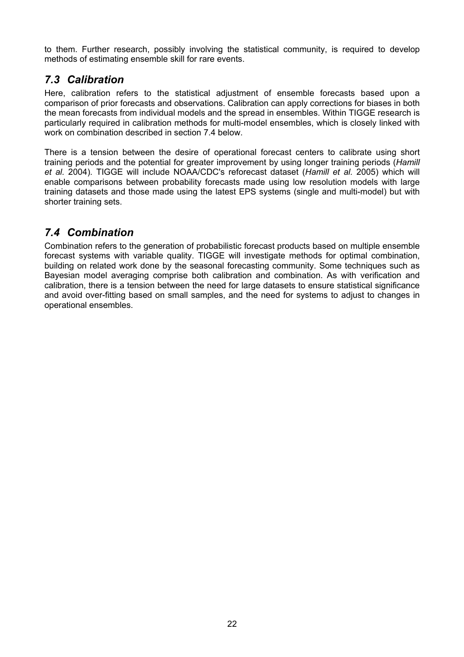to them. Further research, possibly involving the statistical community, is required to develop methods of estimating ensemble skill for rare events.

#### *7.3 Calibration*

Here, calibration refers to the statistical adjustment of ensemble forecasts based upon a comparison of prior forecasts and observations. Calibration can apply corrections for biases in both the mean forecasts from individual models and the spread in ensembles. Within TIGGE research is particularly required in calibration methods for multi-model ensembles, which is closely linked with work on combination described in section 7.4 below.

There is a tension between the desire of operational forecast centers to calibrate using short training periods and the potential for greater improvement by using longer training periods (*Hamill et al.* 2004). TIGGE will include NOAA/CDC's reforecast dataset (*Hamill et al.* 2005) which will enable comparisons between probability forecasts made using low resolution models with large training datasets and those made using the latest EPS systems (single and multi-model) but with shorter training sets.

### *7.4 Combination*

Combination refers to the generation of probabilistic forecast products based on multiple ensemble forecast systems with variable quality. TIGGE will investigate methods for optimal combination, building on related work done by the seasonal forecasting community. Some techniques such as Bayesian model averaging comprise both calibration and combination. As with verification and calibration, there is a tension between the need for large datasets to ensure statistical significance and avoid over-fitting based on small samples, and the need for systems to adjust to changes in operational ensembles.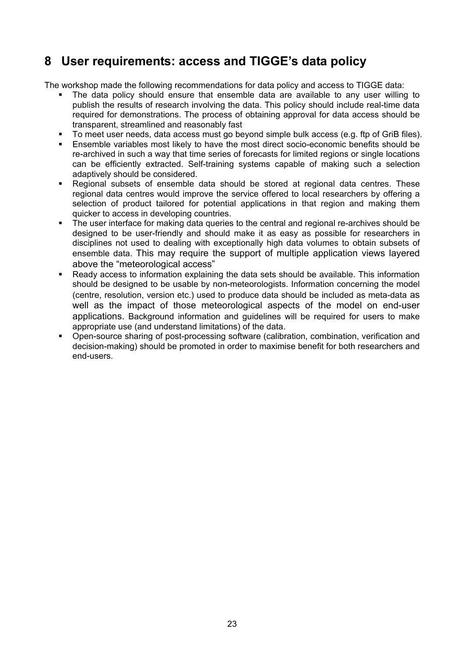### **8 User requirements: access and TIGGE's data policy**

The workshop made the following recommendations for data policy and access to TIGGE data:

- The data policy should ensure that ensemble data are available to any user willing to publish the results of research involving the data. This policy should include real-time data required for demonstrations. The process of obtaining approval for data access should be transparent, streamlined and reasonably fast
- To meet user needs, data access must go beyond simple bulk access (e.g. ftp of GriB files).
- Ensemble variables most likely to have the most direct socio-economic benefits should be re-archived in such a way that time series of forecasts for limited regions or single locations can be efficiently extracted. Self-training systems capable of making such a selection adaptively should be considered.
- Regional subsets of ensemble data should be stored at regional data centres. These regional data centres would improve the service offered to local researchers by offering a selection of product tailored for potential applications in that region and making them quicker to access in developing countries.
- The user interface for making data queries to the central and regional re-archives should be designed to be user-friendly and should make it as easy as possible for researchers in disciplines not used to dealing with exceptionally high data volumes to obtain subsets of ensemble data. This may require the support of multiple application views layered above the "meteorological access"
- Ready access to information explaining the data sets should be available. This information should be designed to be usable by non-meteorologists. Information concerning the model (centre, resolution, version etc.) used to produce data should be included as meta-data as well as the impact of those meteorological aspects of the model on end-user applications. Background information and guidelines will be required for users to make appropriate use (and understand limitations) of the data.
- Open-source sharing of post-processing software (calibration, combination, verification and decision-making) should be promoted in order to maximise benefit for both researchers and end-users.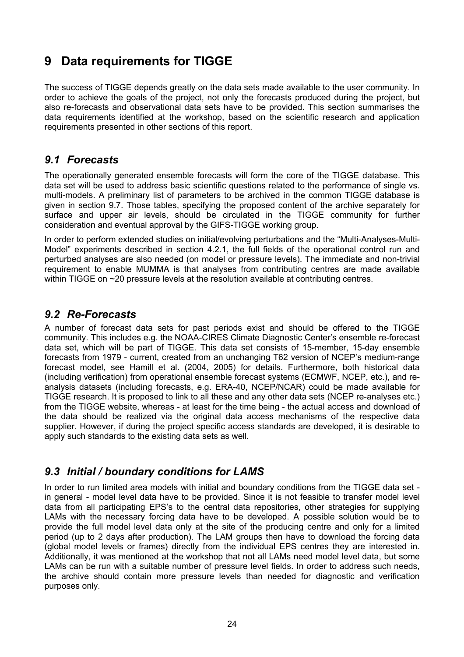### **9 Data requirements for TIGGE**

The success of TIGGE depends greatly on the data sets made available to the user community. In order to achieve the goals of the project, not only the forecasts produced during the project, but also re-forecasts and observational data sets have to be provided. This section summarises the data requirements identified at the workshop, based on the scientific research and application requirements presented in other sections of this report.

#### *9.1 Forecasts*

The operationally generated ensemble forecasts will form the core of the TIGGE database. This data set will be used to address basic scientific questions related to the performance of single vs. multi-models. A preliminary list of parameters to be archived in the common TIGGE database is given in section 9.7. Those tables, specifying the proposed content of the archive separately for surface and upper air levels, should be circulated in the TIGGE community for further consideration and eventual approval by the GIFS-TIGGE working group.

In order to perform extended studies on initial/evolving perturbations and the "Multi-Analyses-Multi-Model" experiments described in section 4.2.1, the full fields of the operational control run and perturbed analyses are also needed (on model or pressure levels). The immediate and non-trivial requirement to enable MUMMA is that analyses from contributing centres are made available within TIGGE on ~20 pressure levels at the resolution available at contributing centres.

#### *9.2 Re-Forecasts*

A number of forecast data sets for past periods exist and should be offered to the TIGGE community. This includes e.g. the NOAA-CIRES Climate Diagnostic Center's ensemble re-forecast data set, which will be part of TIGGE. This data set consists of 15-member, 15-day ensemble forecasts from 1979 - current, created from an unchanging T62 version of NCEP's medium-range forecast model, see Hamill et al. (2004, 2005) for details. Furthermore, both historical data (including verification) from operational ensemble forecast systems (ECMWF, NCEP, etc.), and reanalysis datasets (including forecasts, e.g. ERA-40, NCEP/NCAR) could be made available for TIGGE research. It is proposed to link to all these and any other data sets (NCEP re-analyses etc.) from the TIGGE website, whereas - at least for the time being - the actual access and download of the data should be realized via the original data access mechanisms of the respective data supplier. However, if during the project specific access standards are developed, it is desirable to apply such standards to the existing data sets as well.

#### *9.3 Initial / boundary conditions for LAMS*

In order to run limited area models with initial and boundary conditions from the TIGGE data set in general - model level data have to be provided. Since it is not feasible to transfer model level data from all participating EPS's to the central data repositories, other strategies for supplying LAMs with the necessary forcing data have to be developed. A possible solution would be to provide the full model level data only at the site of the producing centre and only for a limited period (up to 2 days after production). The LAM groups then have to download the forcing data (global model levels or frames) directly from the individual EPS centres they are interested in. Additionally, it was mentioned at the workshop that not all LAMs need model level data, but some LAMs can be run with a suitable number of pressure level fields. In order to address such needs, the archive should contain more pressure levels than needed for diagnostic and verification purposes only.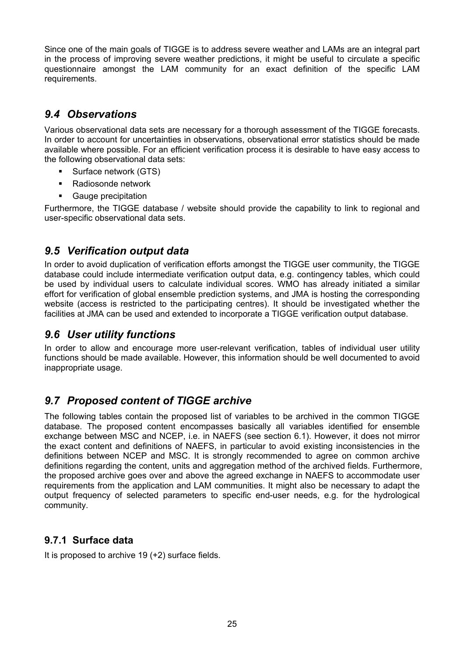Since one of the main goals of TIGGE is to address severe weather and LAMs are an integral part in the process of improving severe weather predictions, it might be useful to circulate a specific questionnaire amongst the LAM community for an exact definition of the specific LAM requirements.

### *9.4 Observations*

Various observational data sets are necessary for a thorough assessment of the TIGGE forecasts. In order to account for uncertainties in observations, observational error statistics should be made available where possible. For an efficient verification process it is desirable to have easy access to the following observational data sets:

- **Surface network (GTS)**
- Radiosonde network
- Gauge precipitation

Furthermore, the TIGGE database / website should provide the capability to link to regional and user-specific observational data sets.

#### *9.5 Verification output data*

In order to avoid duplication of verification efforts amongst the TIGGE user community, the TIGGE database could include intermediate verification output data, e.g. contingency tables, which could be used by individual users to calculate individual scores. WMO has already initiated a similar effort for verification of global ensemble prediction systems, and JMA is hosting the corresponding website (access is restricted to the participating centres). It should be investigated whether the facilities at JMA can be used and extended to incorporate a TIGGE verification output database.

#### *9.6 User utility functions*

In order to allow and encourage more user-relevant verification, tables of individual user utility functions should be made available. However, this information should be well documented to avoid inappropriate usage.

### *9.7 Proposed content of TIGGE archive*

The following tables contain the proposed list of variables to be archived in the common TIGGE database. The proposed content encompasses basically all variables identified for ensemble exchange between MSC and NCEP, i.e. in NAEFS (see section 6.1). However, it does not mirror the exact content and definitions of NAEFS, in particular to avoid existing inconsistencies in the definitions between NCEP and MSC. It is strongly recommended to agree on common archive definitions regarding the content, units and aggregation method of the archived fields. Furthermore, the proposed archive goes over and above the agreed exchange in NAEFS to accommodate user requirements from the application and LAM communities. It might also be necessary to adapt the output frequency of selected parameters to specific end-user needs, e.g. for the hydrological community.

#### **9.7.1 Surface data**

It is proposed to archive 19 (+2) surface fields.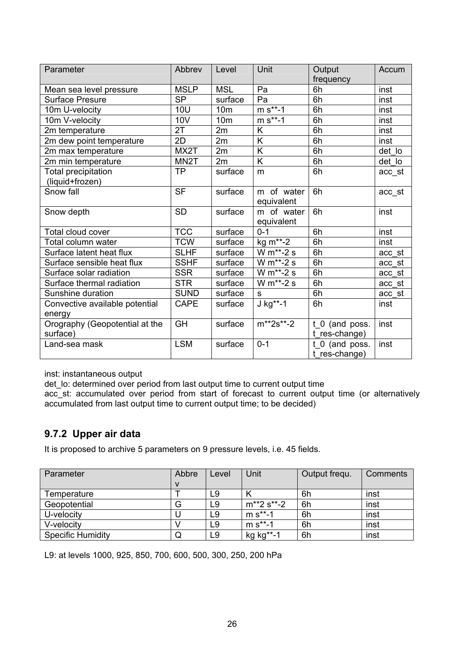| Parameter                                  | Abbrev            | Level           | Unit                        | Output<br>frequency                 | Accum  |
|--------------------------------------------|-------------------|-----------------|-----------------------------|-------------------------------------|--------|
| Mean sea level pressure                    | <b>MSLP</b>       | <b>MSL</b>      | Pa                          | 6h                                  | inst   |
| <b>Surface Presure</b>                     | <b>SP</b>         | surface         | Pa                          | 6h                                  | inst   |
| 10m U-velocity                             | <b>10U</b>        | 10 <sub>m</sub> | $m s^{**} - 1$              | 6h                                  | inst   |
| 10m V-velocity                             | 10V               | 10 <sub>m</sub> | $m s^{**} - 1$              | 6h                                  | inst   |
| 2m temperature                             | 2T                | 2m              | K                           | 6h                                  | inst   |
| 2m dew point temperature                   | 2D                | 2m              | K                           | 6h                                  | inst   |
| 2m max temperature                         | MX2T              | 2m              | K                           | 6h                                  | det lo |
| 2m min temperature                         | MN <sub>2</sub> T | 2m              | K                           | 6h                                  | det_lo |
| Total precipitation                        | <b>TP</b>         | surface         | m                           | 6h                                  | acc st |
| (liquid+frozen)                            |                   |                 |                             |                                     |        |
| Snow fall                                  | <b>SF</b>         | surface         | of water<br>m<br>equivalent | 6h                                  | acc_st |
| Snow depth                                 | <b>SD</b>         | surface         | m of water<br>equivalent    | 6h                                  | inst   |
| Total cloud cover                          | <b>TCC</b>        | surface         | $0 - 1$                     | 6h                                  | inst   |
| Total column water                         | <b>TCW</b>        | surface         | kg m <sup>**</sup> -2       | 6h                                  | inst   |
| Surface latent heat flux                   | <b>SLHF</b>       | surface         | W m**-2 s                   | 6h                                  | acc st |
| Surface sensible heat flux                 | <b>SSHF</b>       | surface         | W $m^*$ -2 s                | 6h                                  | acc st |
| Surface solar radiation                    | <b>SSR</b>        | surface         | W m**-2 s                   | 6h                                  | acc st |
| Surface thermal radiation                  | <b>STR</b>        | surface         | W m**-2 s                   | 6h                                  | acc_st |
| Sunshine duration                          | <b>SUND</b>       | surface         | S                           | 6h                                  | acc st |
| Convective available potential<br>energy   | <b>CAPE</b>       | surface         | $J$ kg**-1                  | 6h                                  | inst   |
| Orography (Geopotential at the<br>surface) | $\overline{GH}$   | surface         | $m^{**}2s^{**} - 2$         | $t_{0}$ (and poss.<br>t_res-change) | inst   |
| Land-sea mask                              | <b>LSM</b>        | surface         | $0 - 1$                     | $t_0$ (and poss.<br>t res-change)   | inst   |

inst: instantaneous output

det\_lo: determined over period from last output time to current output time

acc\_st: accumulated over period from start of forecast to current output time (or alternatively accumulated from last output time to current output time; to be decided)

#### **9.7.2 Upper air data**

It is proposed to archive 5 parameters on 9 pressure levels, i.e. 45 fields.

| Parameter                | Abbre | Level | Unit                 | Output frequ. | Comments |
|--------------------------|-------|-------|----------------------|---------------|----------|
|                          |       |       |                      |               |          |
| Temperature              |       | L9    |                      | 6h            | inst     |
| Geopotential             | G     | L9    | $m^{**}2 s^{**} - 2$ | 6h            | inst     |
| U-velocity               |       | L9    | $m s^{**} - 1$       | 6h            | inst     |
| V-velocity               |       | L9    | $m s^{**} - 1$       | 6h            | inst     |
| <b>Specific Humidity</b> | Q     | L9    | kg kg**-1            | 6h            | inst     |

L9: at levels 1000, 925, 850, 700, 600, 500, 300, 250, 200 hPa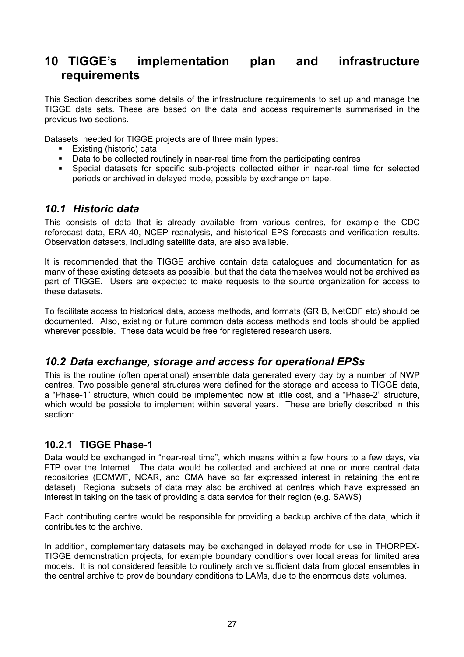### **10 TIGGE's implementation plan and infrastructure requirements**

This Section describes some details of the infrastructure requirements to set up and manage the TIGGE data sets. These are based on the data and access requirements summarised in the previous two sections.

Datasets needed for TIGGE projects are of three main types:

- **Existing (historic) data**
- Data to be collected routinely in near-real time from the participating centres
- Special datasets for specific sub-projects collected either in near-real time for selected periods or archived in delayed mode, possible by exchange on tape.

#### *10.1 Historic data*

This consists of data that is already available from various centres, for example the CDC reforecast data, ERA-40, NCEP reanalysis, and historical EPS forecasts and verification results. Observation datasets, including satellite data, are also available.

It is recommended that the TIGGE archive contain data catalogues and documentation for as many of these existing datasets as possible, but that the data themselves would not be archived as part of TIGGE. Users are expected to make requests to the source organization for access to these datasets.

To facilitate access to historical data, access methods, and formats (GRIB, NetCDF etc) should be documented. Also, existing or future common data access methods and tools should be applied wherever possible. These data would be free for registered research users.

#### *10.2 Data exchange, storage and access for operational EPSs*

This is the routine (often operational) ensemble data generated every day by a number of NWP centres. Two possible general structures were defined for the storage and access to TIGGE data, a "Phase-1" structure, which could be implemented now at little cost, and a "Phase-2" structure, which would be possible to implement within several years. These are briefly described in this section:

#### **10.2.1 TIGGE Phase-1**

Data would be exchanged in "near-real time", which means within a few hours to a few days, via FTP over the Internet. The data would be collected and archived at one or more central data repositories (ECMWF, NCAR, and CMA have so far expressed interest in retaining the entire dataset) Regional subsets of data may also be archived at centres which have expressed an interest in taking on the task of providing a data service for their region (e.g. SAWS)

Each contributing centre would be responsible for providing a backup archive of the data, which it contributes to the archive.

In addition, complementary datasets may be exchanged in delayed mode for use in THORPEX-TIGGE demonstration projects, for example boundary conditions over local areas for limited area models. It is not considered feasible to routinely archive sufficient data from global ensembles in the central archive to provide boundary conditions to LAMs, due to the enormous data volumes.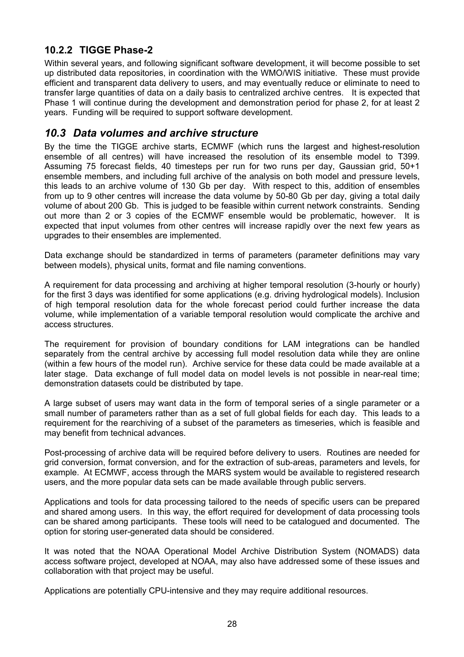#### **10.2.2 TIGGE Phase-2**

Within several years, and following significant software development, it will become possible to set up distributed data repositories, in coordination with the WMO/WIS initiative. These must provide efficient and transparent data delivery to users, and may eventually reduce or eliminate to need to transfer large quantities of data on a daily basis to centralized archive centres. It is expected that Phase 1 will continue during the development and demonstration period for phase 2, for at least 2 years. Funding will be required to support software development.

#### *10.3 Data volumes and archive structure*

By the time the TIGGE archive starts, ECMWF (which runs the largest and highest-resolution ensemble of all centres) will have increased the resolution of its ensemble model to T399. Assuming 75 forecast fields, 40 timesteps per run for two runs per day, Gaussian grid, 50+1 ensemble members, and including full archive of the analysis on both model and pressure levels, this leads to an archive volume of 130 Gb per day. With respect to this, addition of ensembles from up to 9 other centres will increase the data volume by 50-80 Gb per day, giving a total daily volume of about 200 Gb. This is judged to be feasible within current network constraints. Sending out more than 2 or 3 copies of the ECMWF ensemble would be problematic, however. It is expected that input volumes from other centres will increase rapidly over the next few years as upgrades to their ensembles are implemented.

Data exchange should be standardized in terms of parameters (parameter definitions may vary between models), physical units, format and file naming conventions.

A requirement for data processing and archiving at higher temporal resolution (3-hourly or hourly) for the first 3 days was identified for some applications (e.g. driving hydrological models). Inclusion of high temporal resolution data for the whole forecast period could further increase the data volume, while implementation of a variable temporal resolution would complicate the archive and access structures.

The requirement for provision of boundary conditions for LAM integrations can be handled separately from the central archive by accessing full model resolution data while they are online (within a few hours of the model run). Archive service for these data could be made available at a later stage. Data exchange of full model data on model levels is not possible in near-real time; demonstration datasets could be distributed by tape.

A large subset of users may want data in the form of temporal series of a single parameter or a small number of parameters rather than as a set of full global fields for each day. This leads to a requirement for the rearchiving of a subset of the parameters as timeseries, which is feasible and may benefit from technical advances.

Post-processing of archive data will be required before delivery to users. Routines are needed for grid conversion, format conversion, and for the extraction of sub-areas, parameters and levels, for example. At ECMWF, access through the MARS system would be available to registered research users, and the more popular data sets can be made available through public servers.

Applications and tools for data processing tailored to the needs of specific users can be prepared and shared among users. In this way, the effort required for development of data processing tools can be shared among participants. These tools will need to be catalogued and documented. The option for storing user-generated data should be considered.

It was noted that the NOAA Operational Model Archive Distribution System (NOMADS) data access software project, developed at NOAA, may also have addressed some of these issues and collaboration with that project may be useful.

Applications are potentially CPU-intensive and they may require additional resources.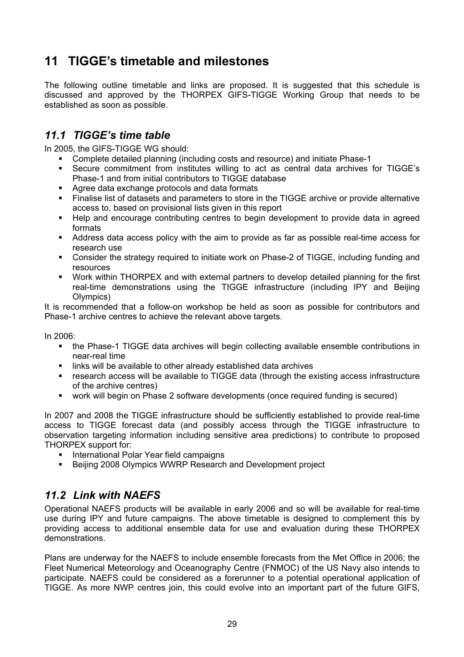### **11 TIGGE's timetable and milestones**

The following outline timetable and links are proposed. It is suggested that this schedule is discussed and approved by the THORPEX GIFS-TIGGE Working Group that needs to be established as soon as possible.

#### *11.1 TIGGE's time table*

In 2005, the GIFS-TIGGE WG should:

- Complete detailed planning (including costs and resource) and initiate Phase-1
- Secure commitment from institutes willing to act as central data archives for TIGGE's Phase-1 and from initial contributors to TIGGE database
- Agree data exchange protocols and data formats
- Finalise list of datasets and parameters to store in the TIGGE archive or provide alternative access to, based on provisional lists given in this report
- Help and encourage contributing centres to begin development to provide data in agreed formats
- Address data access policy with the aim to provide as far as possible real-time access for research use
- Consider the strategy required to initiate work on Phase-2 of TIGGE, including funding and resources
- Work within THORPEX and with external partners to develop detailed planning for the first real-time demonstrations using the TIGGE infrastructure (including IPY and Beijing Olympics)

It is recommended that a follow-on workshop be held as soon as possible for contributors and Phase-1 archive centres to achieve the relevant above targets.

In 2006:

- the Phase-1 TIGGE data archives will begin collecting available ensemble contributions in near-real time
- **EXED Inks will be available to other already established data archives**
- research access will be available to TIGGE data (through the existing access infrastructure of the archive centres)
- work will begin on Phase 2 software developments (once required funding is secured)

In 2007 and 2008 the TIGGE infrastructure should be sufficiently established to provide real-time access to TIGGE forecast data (and possibly access through the TIGGE infrastructure to observation targeting information including sensitive area predictions) to contribute to proposed THORPEX support for:

- **International Polar Year field campaigns**
- **Beijing 2008 Olympics WWRP Research and Development project**

#### *11.2 Link with NAEFS*

Operational NAEFS products will be available in early 2006 and so will be available for real-time use during IPY and future campaigns. The above timetable is designed to complement this by providing access to additional ensemble data for use and evaluation during these THORPEX demonstrations.

Plans are underway for the NAEFS to include ensemble forecasts from the Met Office in 2006; the Fleet Numerical Meteorology and Oceanography Centre (FNMOC) of the US Navy also intends to participate. NAEFS could be considered as a forerunner to a potential operational application of TIGGE. As more NWP centres join, this could evolve into an important part of the future GIFS,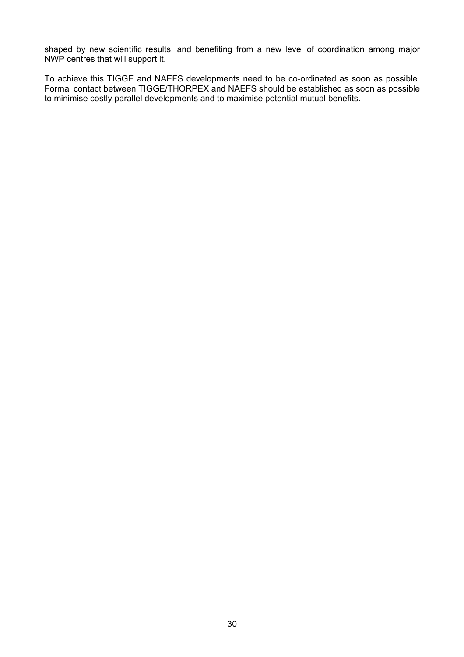shaped by new scientific results, and benefiting from a new level of coordination among major NWP centres that will support it.

To achieve this TIGGE and NAEFS developments need to be co-ordinated as soon as possible. Formal contact between TIGGE/THORPEX and NAEFS should be established as soon as possible to minimise costly parallel developments and to maximise potential mutual benefits.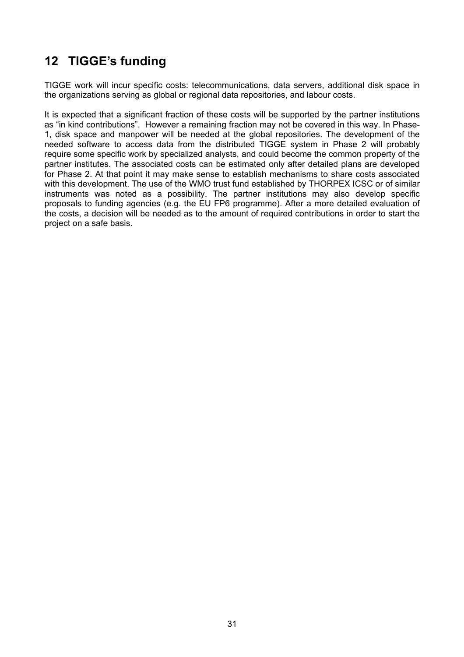### **12 TIGGE's funding**

TIGGE work will incur specific costs: telecommunications, data servers, additional disk space in the organizations serving as global or regional data repositories, and labour costs.

It is expected that a significant fraction of these costs will be supported by the partner institutions as "in kind contributions". However a remaining fraction may not be covered in this way. In Phase-1, disk space and manpower will be needed at the global repositories. The development of the needed software to access data from the distributed TIGGE system in Phase 2 will probably require some specific work by specialized analysts, and could become the common property of the partner institutes. The associated costs can be estimated only after detailed plans are developed for Phase 2. At that point it may make sense to establish mechanisms to share costs associated with this development. The use of the WMO trust fund established by THORPEX ICSC or of similar instruments was noted as a possibility. The partner institutions may also develop specific proposals to funding agencies (e.g. the EU FP6 programme). After a more detailed evaluation of the costs, a decision will be needed as to the amount of required contributions in order to start the project on a safe basis.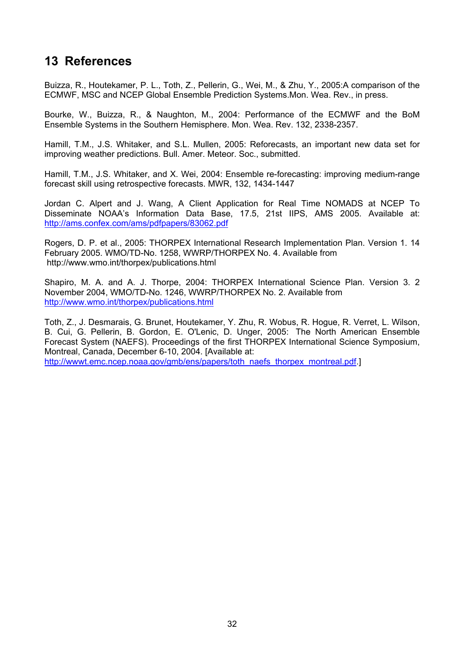### **13 References**

Buizza, R., Houtekamer, P. L., Toth, Z., Pellerin, G., Wei, M., & Zhu, Y., 2005:A comparison of the ECMWF, MSC and NCEP Global Ensemble Prediction Systems.Mon. Wea. Rev., in press.

Bourke, W., Buizza, R., & Naughton, M., 2004: Performance of the ECMWF and the BoM Ensemble Systems in the Southern Hemisphere. Mon. Wea. Rev. 132, 2338-2357.

Hamill, T.M., J.S. Whitaker, and S.L. Mullen, 2005: Reforecasts, an important new data set for improving weather predictions. Bull. Amer. Meteor. Soc., submitted.

Hamill, T.M., J.S. Whitaker, and X. Wei, 2004: Ensemble re-forecasting: improving medium-range forecast skill using retrospective forecasts. MWR, 132, 1434-1447

Jordan C. Alpert and J. Wang, A Client Application for Real Time NOMADS at NCEP To Disseminate NOAA's Information Data Base, 17.5, 21st IIPS, AMS 2005. Available at: <http://ams.confex.com/ams/pdfpapers/83062.pdf>

Rogers, D. P. et al., 2005: THORPEX International Research Implementation Plan. Version 1. 14 February 2005. WMO/TD-No. 1258, WWRP/THORPEX No. 4. Available from http://www.wmo.int/thorpex/publications.html

Shapiro, M. A. and A. J. Thorpe, 2004: THORPEX International Science Plan. Version 3. 2 November 2004, WMO/TD-No. 1246, WWRP/THORPEX No. 2. Available from <http://www.wmo.int/thorpex/publications.html>

Toth, Z., J. Desmarais, G. Brunet, Houtekamer, Y. Zhu, R. Wobus, R. Hogue, R. Verret, L. Wilson, B. Cui, G. Pellerin, B. Gordon, E. O'Lenic, D. Unger, 2005: The North American Ensemble Forecast System (NAEFS). Proceedings of the first THORPEX International Science Symposium, Montreal, Canada, December 6-10, 2004. [Available at: [http://wwwt.emc.ncep.noaa.gov/gmb/ens/papers/toth\\_naefs\\_thorpex\\_montreal.pdf.](http://wwwt.emc.ncep.noaa.gov/gmb/ens/papers/toth_naefs_thorpex_montreal.pdf)]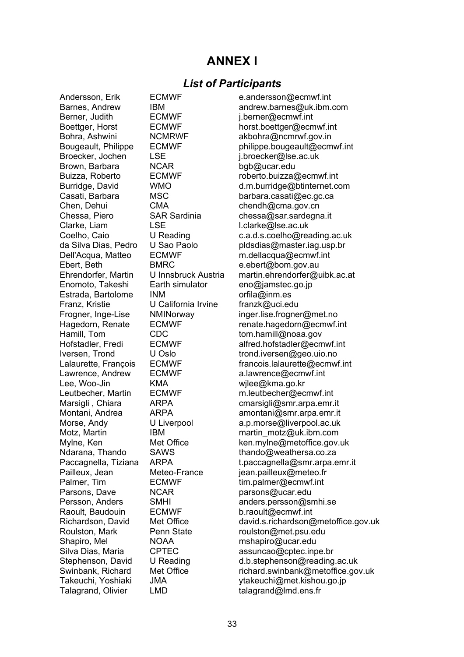### **ANNEX I**

#### *List of Participants*

Berner, Judith **ECMWF** i.berner@ecmwf.int Broecker, Jochen LSE j.broecker@lse.ac.uk Brown, Barbara NCAR bgb@ucar.edu Chen, Dehui CMA chendh@cma.gov.cn Clarke, Liam LSE LSE L.clarke@lse.ac.uk Ebert, Beth BMRC e.ebert@bom.gov.au Enomoto, Takeshi Earth simulator eno@jamstec.go.jp Estrada, Bartolome INM orfila@inm.es Franz, Kristie U California Irvine franzk@uci.edu Hamill, Tom CDC tom.hamill@noaa.gov Lee, Woo-Jin KMA wilee@kma.go.kr Parsons, Dave **NCAR** parsons@ucar.edu Raoult, Baudouin ECMWF b.raoult@ecmwf.int Shapiro, Mel **NOAA** mshapiro@ucar.edu<br>Silva Dias. Maria CPTEC assuncao@cotec.inr

Andersson, Erik ECMWF e.andersson@ecmwf.int Barnes, Andrew IBM andrew.barnes@uk.ibm.com Boettger, Horst **ECMWF** horst.boettger@ecmwf.int Bohra, Ashwini NCMRWF akbohra@ncmrwf.gov.in Bougeault, Philippe ECMWF philippe.bougeault@ecmwf.int Buizza, Roberto ECMWF roberto.buizza@ecmwf.int Burridge, David WMO d.m.burridge@btinternet.com Casati, Barbara MSC barbara.casati@ec.gc.ca Chessa, Piero SAR Sardinia chessa@sar.sardegna.it Coelho, Caio U Reading c.a.d.s.coelho@reading.ac.uk<br>da Silva Dias. Pedro U Sao Paolo bldsdias@master.jag.usp.br U Sao Paolo **bldsdias@master.iag.usp.br** Dell'Acqua, Matteo ECMWF m.dellacqua@ecmwf.int Ehrendorfer, Martin U Innsbruck Austria martin.ehrendorfer@uibk.ac.at Frogner, Inge-Lise NMINorway inger.lise.frogner@met.no Hagedorn, Renate FCMWF renate.hagedorn@ecmwf.int Hofstadler, Fredi ECMWF alfred.hofstadler@ecmwf.int Iversen, Trond U Oslo trond.iversen@geo.uio.no Lalaurette, François ECMWF francois.lalaurette@ecmwf.int<br>Lawrence, Andrew ECMWF a.lawrence@ecmwf.int Lawrence, Andrew ECMWF a.lawrence@ecmwf.int Leutbecher, Martin ECMWF m.leutbecher@ecmwf.int Marsigli, Chiara ARPA cmarsigli@smr.arpa.emr.it Montani, Andrea ARPA amontani@smr.arpa.emr.it Morse, Andy **U** Liverpool **a.p.morse@liverpool.ac.uk** Motz, Martin **IBM IBM** martin motz@uk.ibm.com Mylne, Ken Met Office ken.mylne@metoffice.gov.uk Ndarana, Thando SAWS thando@weathersa.co.za Paccagnella, Tiziana ARPA t.paccagnella@smr.arpa.emr.it Pailleux, Jean Meteo-France jean.pailleux@meteo.fr Palmer, Tim ECMWF tim.palmer@ecmwf.int Persson, Anders SMHI anders.persson@smhi.se Richardson, David Met Office david.s.richardson@metoffice.gov.uk Roulston, Mark Penn State roulston@met.psu.edu Silva Dias, Maria CPTEC assuncao@cptec.inpe.br Stephenson, David U Reading d.b.stephenson@reading.ac.uk Swinbank, Richard Met Office richard.swinbank@metoffice.gov.uk Takeuchi, Yoshiaki JMA ytakeuchi@met.kishou.go.jp Talagrand, Olivier LMD talagrand@lmd.ens.fr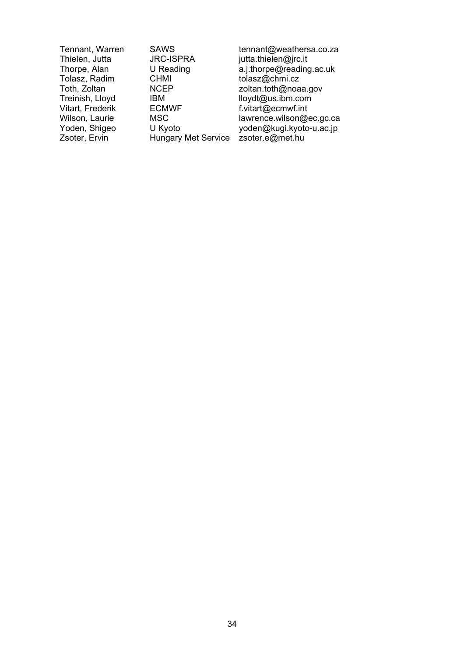CHMI tolasz@chmi.cz Treinish, Lloyd IBM Iloydt@us.ibm.com<br>Vitart, Frederik ECMWF f.vitart@ecmwf.int Vitart, Frederik ECMWF f.vitart@ecmwf.int<br>Wilson, Laurie MSC MISC lawrence.wilson@e Zsoter, Ervin Hungary Met Service zsoter.e@met.hu

Tennant, Warren SAWS tennant@weathersa.co.za<br>Thielen, Jutta JRC-ISPRA jutta.thielen@irc.it jutta.thielen@jrc.it Thorpe, Alan U Reading a.j.thorpe@reading.ac.uk<br>
Tolasz, Radim CHMI tolasz@chmi.cz Toth, Zoltan **NCEP** and a soltan.toth@noaa.gov<br>Treinish, Lloyd BM BM lloydt@us.ibm.com Wilson, Laurie – MSC<br>
Wilson, Laurie – MSC – MSC lawrence.wilson@ec.gc.ca<br>
Yoden, Shigeo – U Kyoto – voden@kugi.kyoto-u.ac.jp yoden@kugi.kyoto-u.ac.jp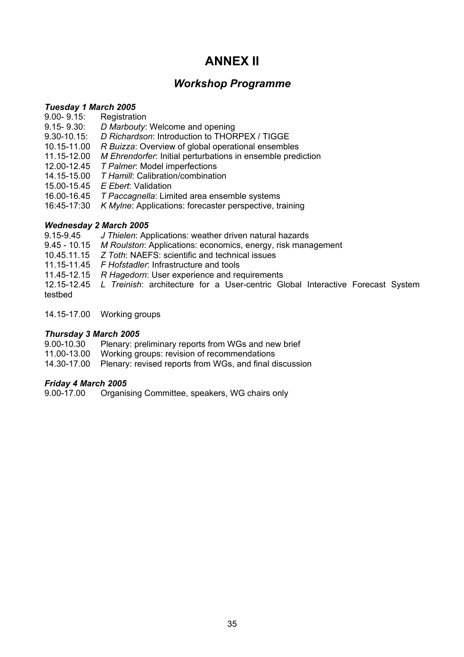### **ANNEX II**

#### *Workshop Programme*

#### *Tuesday 1 March 2005*

- 9.00- 9.15: Registration<br>9.15- 9.30: D Marboutv:
- 9.15- 9.30: *D Marbouty*: Welcome and opening

9.30-10.15: *D Richardson*: Introduction to THORPEX / TIGGE

- 10.15-11.00 *R Buizza*: Overview of global operational ensembles
- 11.15-12.00 *M Ehrendorfer*: Initial perturbations in ensemble prediction
- 12.00-12.45 *T Palmer*: Model imperfections
- 14.15-15.00 *T Hamill*: Calibration/combination
- 15.00-15.45 *E Ebert*: Validation
- 16.00-16.45 *T Paccagnella*: Limited area ensemble systems
- 16:45-17:30 *K Mylne*: Applications: forecaster perspective, training

#### *Wednesday 2 March 2005*

- 9.15-9.45 *J Thielen*: Applications: weather driven natural hazards
- 9.45 10.15 *M Roulston*: Applications: economics, energy, risk management
- 10.45.11.15 *Z Toth*: NAEFS: scientific and technical issues
- 11.15-11.45 *F Hofstadler*: Infrastructure and tools
- 11.45-12.15 *R Hagedorn*: User experience and requirements
- 12.15-12.45 *L Treinish*: architecture for a User-centric Global Interactive Forecast System testbed
- 14.15-17.00 Working groups

#### *Thursday 3 March 2005*

- 9.00-10.30 Plenary: preliminary reports from WGs and new brief
- 11.00-13.00 Working groups: revision of recommendations
- 14.30-17.00 Plenary: revised reports from WGs, and final discussion

#### *Friday 4 March 2005*

9.00-17.00 Organising Committee, speakers, WG chairs only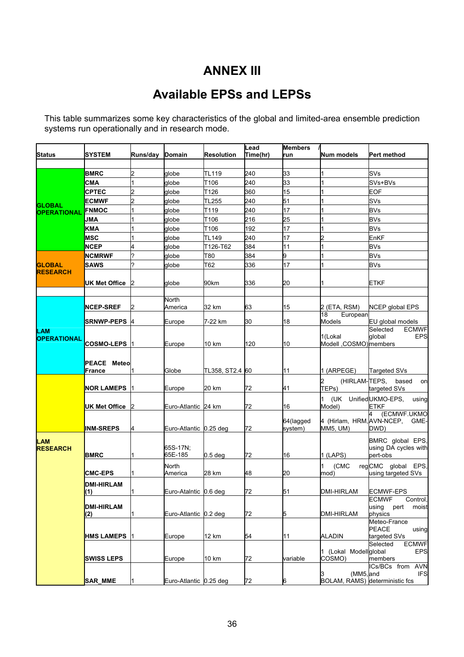### **ANNEX III**

## **Available EPSs and LEPSs**

This table summarizes some key characteristics of the global and limited-area ensemble prediction systems run operationally and in research mode.

|                           |                    |                |                        |                    | Lead     | <b>Members</b>  |                                 |                                       |
|---------------------------|--------------------|----------------|------------------------|--------------------|----------|-----------------|---------------------------------|---------------------------------------|
| <b>Status</b>             | SYSTEM             | Runs/day       | <b>Domain</b>          | Resolution         | Time(hr) | run             | Num models                      | Pert method                           |
|                           |                    |                |                        |                    |          |                 |                                 |                                       |
|                           | <b>BMRC</b>        | 2              | globe                  | <b>TL119</b>       | 240      | 33              |                                 | SVs                                   |
|                           | СМА                | 1              | globe                  | T106               | 240      | 33              |                                 | SVs+BVs                               |
|                           | CPTEC              | $\overline{c}$ | globe                  | T126               | 360      | 15              |                                 | EOF                                   |
|                           | <b>ECMWF</b>       | $\overline{c}$ | globe                  | <b>TL255</b>       | 240      | 51              |                                 | SVs                                   |
| <b>GLOBAL</b>             | <b>FNMOC</b>       |                | globe                  | T119               | 240      | $\overline{17}$ |                                 | <b>BVs</b>                            |
| <b>OPERATIONAL</b>        |                    |                |                        |                    | 216      |                 |                                 | <b>BVs</b>                            |
|                           | JMA                |                | globe                  | T106               |          | 25<br>17        |                                 |                                       |
|                           | <b>KMA</b>         |                | globe                  | T106               | 192      |                 |                                 | <b>BVs</b>                            |
|                           | <b>MSC</b>         |                | globe                  | <b>TL149</b>       | 240      | 17              |                                 | EnKF                                  |
|                           | <b>NCEP</b>        | 4              | globe                  | T126-T62           | 384      | 11              |                                 | <b>BVs</b>                            |
|                           | <b>NCMRWF</b>      | ?              | globe                  | T80                | 384      | 9               |                                 | <b>BVs</b>                            |
| <b>GLOBAL</b>             | <b>SAWS</b>        | 2              | globe                  | T62                | 336      | 17              |                                 | <b>BVs</b>                            |
| <b>RESEARCH</b>           |                    |                |                        |                    |          |                 |                                 |                                       |
|                           | UK Met Office      | I2             | globe                  | 90km               | 336      | 20              |                                 | <b>ETKF</b>                           |
|                           |                    |                |                        |                    |          |                 |                                 |                                       |
|                           |                    |                | North                  |                    |          |                 |                                 |                                       |
|                           | <b>NCEP-SREF</b>   | 2              | America                | 32 km              | 63       | 15              | 2 (ETA, RSM)                    | <b>NCEP global EPS</b>                |
|                           |                    |                |                        | 7-22 km            | 30       | 18              | 18<br>European<br><b>Models</b> | EU global models                      |
|                           | SRNWP-PEPS  4      |                | Europe                 |                    |          |                 |                                 | <b>ECMWF</b><br>Selected              |
| LAM<br><b>OPERATIONAL</b> |                    |                |                        |                    |          |                 | 1(Lokal                         | <b>EPS</b><br>global                  |
|                           | <b>COSMO-LEPS</b>  |                | Europe                 | 10 km              | 120      | 10              | Modell , COSMO) members         |                                       |
|                           |                    |                |                        |                    |          |                 |                                 |                                       |
|                           | <b>PEACE Meteo</b> |                |                        |                    |          |                 |                                 |                                       |
|                           | France             |                | Globe                  | TL358, ST2.4 60    |          | 11              | 1 (ARPEGE)                      | <b>Targeted SVs</b>                   |
|                           |                    |                |                        |                    |          |                 | 2                               | (HIRLAM-TEPS, based<br>on             |
|                           | <b>NOR LAMEPS</b>  |                | Europe                 | 20 km              | 72       | 41              | TEPs)                           | targeted SVs                          |
|                           |                    |                |                        |                    |          |                 | (UK Unified UKMO-EPS,<br>11     |                                       |
|                           | UK Met Office      |                | Euro-Atlantic 24 km    |                    | 72       | 16              | Model)                          | using<br>ETKF                         |
|                           |                    |                |                        |                    |          |                 |                                 | 4<br>(ECMWF.UKMO                      |
|                           |                    |                |                        |                    |          | 64(lagged       | 4 (Hirlam, HRM, AVN-NCEP,       | GME-                                  |
|                           | <b>INM-SREPS</b>   | 4              | Euro-Atlantic 0.25 deg |                    | 72       | system)         | MM5, UM)                        | DWD)                                  |
| <b>LAM</b>                |                    |                |                        |                    |          |                 |                                 | BMRC global EPS,                      |
| <b>RESEARCH</b>           |                    |                | 65S-17N;               |                    |          |                 |                                 | using DA cycles with                  |
|                           | <b>BMRC</b>        |                | 65E-185                | 0.5 <sub>deg</sub> | 72       | 16              | 1 (LAPS)                        | pert-obs                              |
|                           |                    |                | North                  |                    |          |                 | 1<br>(CMC                       | regCMC global EPS,                    |
|                           | <b>CMC-EPS</b>     |                | America                | 28 km              | 48       | 20              | mod)                            | using targeted SVs                    |
|                           | <b>DMI-HIRLAM</b>  |                |                        |                    |          |                 |                                 |                                       |
|                           | (1)                | I1             | Euro-Ataintic 0.6 deg  |                    | 72       | 51              | <b>DMI-HIRLAM</b>               | <b>ECMWF-EPS</b>                      |
|                           |                    |                |                        |                    |          |                 |                                 | <b>ECMWF</b><br>Control,              |
|                           | <b>DMI-HIRLAM</b>  |                |                        |                    |          |                 |                                 | using<br>moist<br>pert                |
|                           | (2)                |                | Euro-Atlantic 0.2 deg  |                    | 72       | 5               | <b>DMI-HIRLAM</b>               | physics                               |
|                           |                    |                |                        |                    |          |                 |                                 | Meteo-France<br><b>PEACE</b><br>using |
|                           | <b>HMS LAMEPS</b>  |                | Europe                 | 12 km              | 54       | 11              | <b>ALADIN</b>                   | targeted SVs                          |
|                           |                    |                |                        |                    |          |                 |                                 | Selected<br><b>ECMWF</b>              |
|                           |                    |                |                        |                    |          |                 | 1 (Lokal Modell qlobal          | <b>EPS</b>                            |
|                           | <b>SWISS LEPS</b>  |                | Europe                 | 10 km              | 72       | variable        | COSMO)                          | members                               |
|                           |                    |                |                        |                    |          |                 |                                 | ICs/BCs from AVN                      |
|                           |                    |                |                        |                    |          |                 | (MM5, and<br>IЗ                 | <b>IFS</b>                            |
|                           | <b>SAR MME</b>     |                | Euro-Atlantic 0.25 deg |                    | 72       | 6               | BOLAM, RAMS) deterministic fcs  |                                       |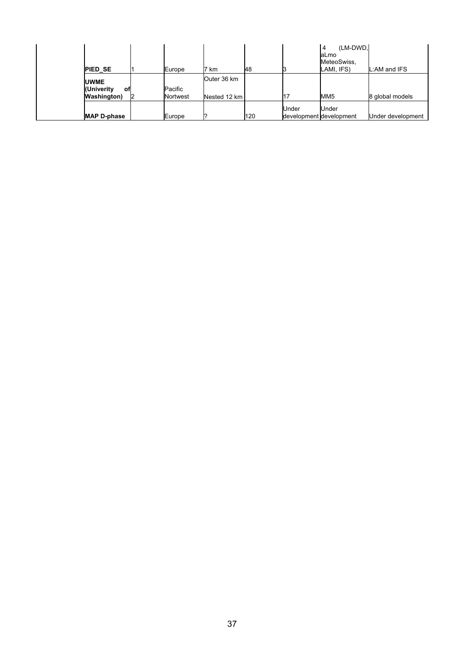| <b>PIED SE</b>                                   |    | Europe              | ⇁<br>km                     | 48  |                                  | (LM-DWD.<br>$\overline{4}$<br>laLmo<br>MeteoSwiss,<br>LAMI, IFS) | .:AM and IFS      |
|--------------------------------------------------|----|---------------------|-----------------------------|-----|----------------------------------|------------------------------------------------------------------|-------------------|
| <b>UWME</b><br>(Univerity<br><b>Washington</b> ) | оf | Pacific<br>Nortwest | Outer 36 km<br>Nested 12 km |     |                                  | MM5                                                              | 8 global models   |
| <b>MAP D-phase</b>                               |    | Europe              |                             | 120 | Under<br>development development | Under                                                            | Under development |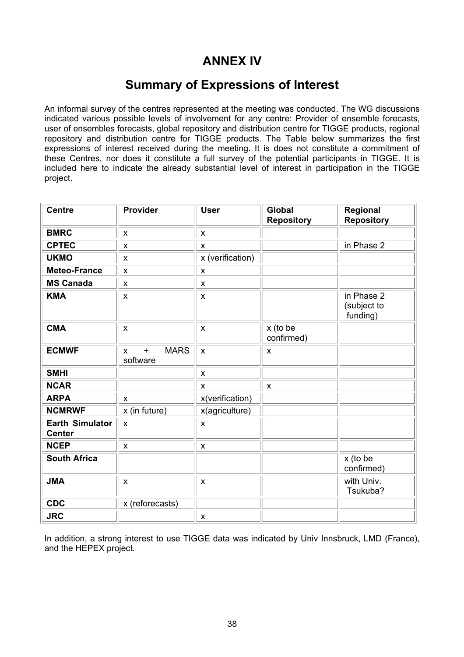### **ANNEX IV**

### **Summary of Expressions of Interest**

An informal survey of the centres represented at the meeting was conducted. The WG discussions indicated various possible levels of involvement for any centre: Provider of ensemble forecasts, user of ensembles forecasts, global repository and distribution centre for TIGGE products, regional repository and distribution centre for TIGGE products. The Table below summarizes the first expressions of interest received during the meeting. It is does not constitute a commitment of these Centres, nor does it constitute a full survey of the potential participants in TIGGE. It is included here to indicate the already substantial level of interest in participation in the TIGGE project.

| <b>Centre</b>                           | Provider                                                          | <b>User</b>               | <b>Global</b>          | Regional                              |
|-----------------------------------------|-------------------------------------------------------------------|---------------------------|------------------------|---------------------------------------|
|                                         |                                                                   |                           | <b>Repository</b>      | <b>Repository</b>                     |
| <b>BMRC</b>                             | X                                                                 | $\pmb{\mathsf{X}}$        |                        |                                       |
| <b>CPTEC</b>                            | $\pmb{\times}$                                                    | $\pmb{\times}$            |                        | in Phase 2                            |
| <b>UKMO</b>                             | $\pmb{\times}$                                                    | x (verification)          |                        |                                       |
| Meteo-France                            | $\pmb{\mathsf{X}}$                                                | $\pmb{\mathsf{X}}$        |                        |                                       |
| <b>MS Canada</b>                        | X                                                                 | $\pmb{\times}$            |                        |                                       |
| <b>KMA</b>                              | $\pmb{\times}$                                                    | $\mathsf{x}$              |                        | in Phase 2<br>(subject to<br>funding) |
| <b>CMA</b>                              | $\boldsymbol{\mathsf{x}}$                                         | $\pmb{\mathsf{X}}$        | x (to be<br>confirmed) |                                       |
| <b>ECMWF</b>                            | <b>MARS</b><br>$\ddot{}$<br>$\boldsymbol{\mathsf{x}}$<br>software | $\boldsymbol{\mathsf{x}}$ | X                      |                                       |
| <b>SMHI</b>                             |                                                                   | $\pmb{\mathsf{X}}$        |                        |                                       |
| <b>NCAR</b>                             |                                                                   | $\boldsymbol{\mathsf{x}}$ | $\pmb{\times}$         |                                       |
| <b>ARPA</b>                             | $\boldsymbol{\mathsf{x}}$                                         | x(verification)           |                        |                                       |
| <b>NCMRWF</b>                           | x (in future)                                                     | x(agriculture)            |                        |                                       |
| <b>Earth Simulator</b><br><b>Center</b> | $\pmb{\times}$                                                    | $\pmb{\times}$            |                        |                                       |
| <b>NCEP</b>                             | $\pmb{\times}$                                                    | $\pmb{\mathsf{X}}$        |                        |                                       |
| <b>South Africa</b>                     |                                                                   |                           |                        | x (to be<br>confirmed)                |
| <b>JMA</b>                              | $\pmb{\times}$                                                    | $\pmb{\mathsf{X}}$        |                        | with Univ.<br>Tsukuba?                |
| <b>CDC</b>                              | x (reforecasts)                                                   |                           |                        |                                       |
| <b>JRC</b>                              |                                                                   | $\pmb{\mathsf{X}}$        |                        |                                       |

In addition, a strong interest to use TIGGE data was indicated by Univ Innsbruck, LMD (France), and the HEPEX project.